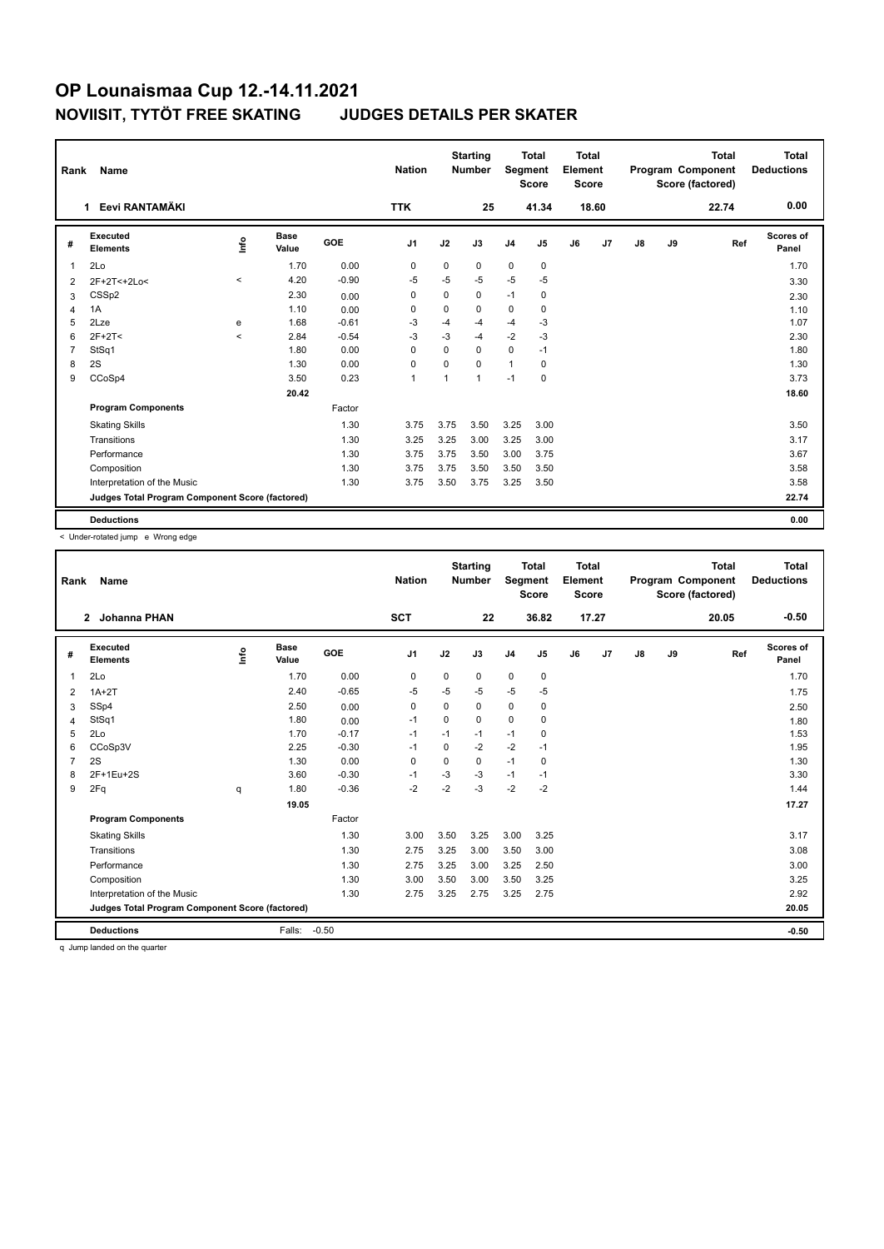| Rank           | Name                                            |         |                      |         | <b>Nation</b>  |             | <b>Starting</b><br><b>Number</b> | Segment        | <b>Total</b><br><b>Score</b> | <b>Total</b><br>Element<br><b>Score</b> |       |    |    | <b>Total</b><br>Program Component<br>Score (factored) | <b>Total</b><br><b>Deductions</b> |
|----------------|-------------------------------------------------|---------|----------------------|---------|----------------|-------------|----------------------------------|----------------|------------------------------|-----------------------------------------|-------|----|----|-------------------------------------------------------|-----------------------------------|
|                | Eevi RANTAMÄKI<br>1.                            |         |                      |         | <b>TTK</b>     |             | 25                               |                | 41.34                        |                                         | 18.60 |    |    | 22.74                                                 | 0.00                              |
| #              | Executed<br><b>Elements</b>                     | lnfo    | <b>Base</b><br>Value | GOE     | J <sub>1</sub> | J2          | J3                               | J <sub>4</sub> | J <sub>5</sub>               | J6                                      | J7    | J8 | J9 | Ref                                                   | <b>Scores of</b><br>Panel         |
| $\mathbf{1}$   | 2Lo                                             |         | 1.70                 | 0.00    | 0              | $\mathbf 0$ | 0                                | $\mathbf 0$    | $\pmb{0}$                    |                                         |       |    |    |                                                       | 1.70                              |
| 2              | 2F+2T<+2Lo<                                     | $\prec$ | 4.20                 | $-0.90$ | $-5$           | $-5$        | $-5$                             | $-5$           | -5                           |                                         |       |    |    |                                                       | 3.30                              |
| 3              | CSS <sub>p2</sub>                               |         | 2.30                 | 0.00    | 0              | $\mathbf 0$ | 0                                | $-1$           | 0                            |                                         |       |    |    |                                                       | 2.30                              |
| $\overline{4}$ | 1A                                              |         | 1.10                 | 0.00    | 0              | $\mathbf 0$ | $\mathbf 0$                      | 0              | $\mathbf 0$                  |                                         |       |    |    |                                                       | 1.10                              |
| 5              | 2Lze                                            | e       | 1.68                 | $-0.61$ | -3             | $-4$        | $-4$                             | $-4$           | $-3$                         |                                         |       |    |    |                                                       | 1.07                              |
| 6              | $2F+2T<$                                        | $\prec$ | 2.84                 | $-0.54$ | -3             | $-3$        | $-4$                             | $-2$           | $-3$                         |                                         |       |    |    |                                                       | 2.30                              |
| $\overline{7}$ | StSq1                                           |         | 1.80                 | 0.00    | $\mathbf 0$    | $\Omega$    | $\mathbf 0$                      | $\mathbf 0$    | $-1$                         |                                         |       |    |    |                                                       | 1.80                              |
| 8              | 2S                                              |         | 1.30                 | 0.00    | $\mathbf 0$    | $\mathbf 0$ | $\Omega$                         | $\mathbf{1}$   | 0                            |                                         |       |    |    |                                                       | 1.30                              |
| 9              | CCoSp4                                          |         | 3.50                 | 0.23    | $\overline{1}$ |             | $\mathbf{1}$                     | $-1$           | $\mathbf 0$                  |                                         |       |    |    |                                                       | 3.73                              |
|                |                                                 |         | 20.42                |         |                |             |                                  |                |                              |                                         |       |    |    |                                                       | 18.60                             |
|                | <b>Program Components</b>                       |         |                      | Factor  |                |             |                                  |                |                              |                                         |       |    |    |                                                       |                                   |
|                | <b>Skating Skills</b>                           |         |                      | 1.30    | 3.75           | 3.75        | 3.50                             | 3.25           | 3.00                         |                                         |       |    |    |                                                       | 3.50                              |
|                | Transitions                                     |         |                      | 1.30    | 3.25           | 3.25        | 3.00                             | 3.25           | 3.00                         |                                         |       |    |    |                                                       | 3.17                              |
|                | Performance                                     |         |                      | 1.30    | 3.75           | 3.75        | 3.50                             | 3.00           | 3.75                         |                                         |       |    |    |                                                       | 3.67                              |
|                | Composition                                     |         |                      | 1.30    | 3.75           | 3.75        | 3.50                             | 3.50           | 3.50                         |                                         |       |    |    |                                                       | 3.58                              |
|                | Interpretation of the Music                     |         |                      | 1.30    | 3.75           | 3.50        | 3.75                             | 3.25           | 3.50                         |                                         |       |    |    |                                                       | 3.58                              |
|                | Judges Total Program Component Score (factored) |         |                      |         |                |             |                                  |                |                              |                                         |       |    |    |                                                       | 22.74                             |
|                | <b>Deductions</b>                               |         |                      |         |                |             |                                  |                |                              |                                         |       |    |    |                                                       | 0.00                              |

< Under-rotated jump e Wrong edge

| Rank           | Name                                            |      |               |         | <b>Nation</b>  |             | <b>Starting</b><br><b>Number</b> | Segment        | <b>Total</b><br><b>Score</b> | Total<br>Element<br><b>Score</b> |       |    |    | <b>Total</b><br>Program Component<br>Score (factored) | Total<br><b>Deductions</b> |
|----------------|-------------------------------------------------|------|---------------|---------|----------------|-------------|----------------------------------|----------------|------------------------------|----------------------------------|-------|----|----|-------------------------------------------------------|----------------------------|
|                | 2 Johanna PHAN                                  |      |               |         | <b>SCT</b>     |             | 22                               |                | 36.82                        |                                  | 17.27 |    |    | 20.05                                                 | $-0.50$                    |
| #              | Executed<br><b>Elements</b>                     | lnfo | Base<br>Value | GOE     | J <sub>1</sub> | J2          | J3                               | J <sub>4</sub> | J5                           | J6                               | J7    | J8 | J9 | Ref                                                   | Scores of<br>Panel         |
| $\overline{1}$ | 2Lo                                             |      | 1.70          | 0.00    | 0              | $\mathbf 0$ | 0                                | $\mathbf 0$    | $\mathbf 0$                  |                                  |       |    |    |                                                       | 1.70                       |
| 2              | $1A+2T$                                         |      | 2.40          | $-0.65$ | $-5$           | $-5$        | $-5$                             | $-5$           | $-5$                         |                                  |       |    |    |                                                       | 1.75                       |
| 3              | SSp4                                            |      | 2.50          | 0.00    | 0              | $\Omega$    | 0                                | $\mathbf 0$    | 0                            |                                  |       |    |    |                                                       | 2.50                       |
| 4              | StSq1                                           |      | 1.80          | 0.00    | $-1$           | $\Omega$    | $\Omega$                         | $\mathbf 0$    | $\Omega$                     |                                  |       |    |    |                                                       | 1.80                       |
| 5              | 2Lo                                             |      | 1.70          | $-0.17$ | $-1$           | $-1$        | $-1$                             | $-1$           | $\mathbf 0$                  |                                  |       |    |    |                                                       | 1.53                       |
| 6              | CCoSp3V                                         |      | 2.25          | $-0.30$ | $-1$           | $\Omega$    | $-2$                             | $-2$           | $-1$                         |                                  |       |    |    |                                                       | 1.95                       |
| $\overline{7}$ | 2S                                              |      | 1.30          | 0.00    | $\mathbf 0$    | $\Omega$    | $\Omega$                         | $-1$           | $\mathbf 0$                  |                                  |       |    |    |                                                       | 1.30                       |
| 8              | 2F+1Eu+2S                                       |      | 3.60          | $-0.30$ | $-1$           | $-3$        | $-3$                             | $-1$           | $-1$                         |                                  |       |    |    |                                                       | 3.30                       |
| 9              | 2Fq                                             | q    | 1.80          | $-0.36$ | $-2$           | $-2$        | $-3$                             | $-2$           | $-2$                         |                                  |       |    |    |                                                       | 1.44                       |
|                |                                                 |      | 19.05         |         |                |             |                                  |                |                              |                                  |       |    |    |                                                       | 17.27                      |
|                | <b>Program Components</b>                       |      |               | Factor  |                |             |                                  |                |                              |                                  |       |    |    |                                                       |                            |
|                | <b>Skating Skills</b>                           |      |               | 1.30    | 3.00           | 3.50        | 3.25                             | 3.00           | 3.25                         |                                  |       |    |    |                                                       | 3.17                       |
|                | Transitions                                     |      |               | 1.30    | 2.75           | 3.25        | 3.00                             | 3.50           | 3.00                         |                                  |       |    |    |                                                       | 3.08                       |
|                | Performance                                     |      |               | 1.30    | 2.75           | 3.25        | 3.00                             | 3.25           | 2.50                         |                                  |       |    |    |                                                       | 3.00                       |
|                | Composition                                     |      |               | 1.30    | 3.00           | 3.50        | 3.00                             | 3.50           | 3.25                         |                                  |       |    |    |                                                       | 3.25                       |
|                | Interpretation of the Music                     |      |               | 1.30    | 2.75           | 3.25        | 2.75                             | 3.25           | 2.75                         |                                  |       |    |    |                                                       | 2.92                       |
|                | Judges Total Program Component Score (factored) |      |               |         |                |             |                                  |                |                              |                                  |       |    |    |                                                       | 20.05                      |
|                | <b>Deductions</b>                               |      | Falls:        | $-0.50$ |                |             |                                  |                |                              |                                  |       |    |    |                                                       | $-0.50$                    |

q Jump landed on the quarter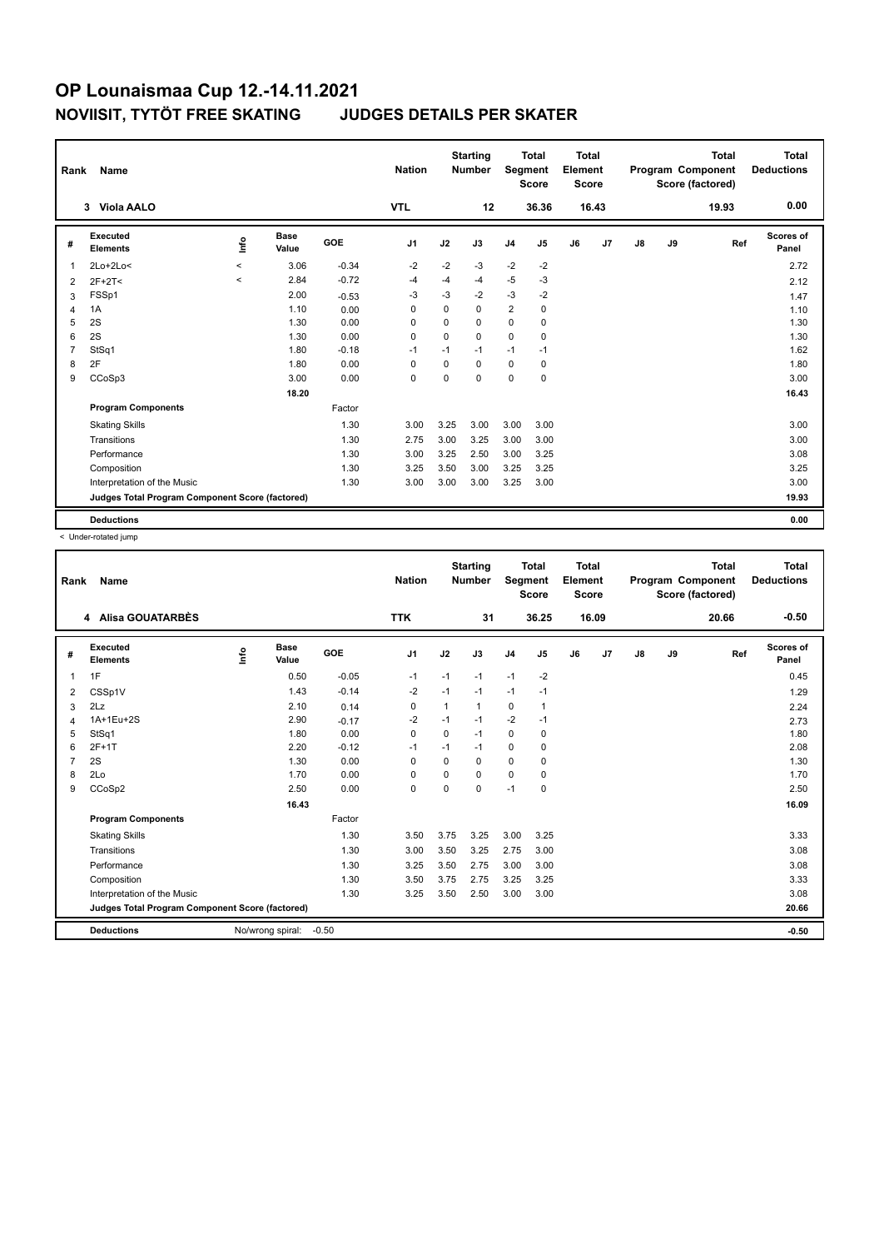| Rank           | Name                                            |                                  |                      |            | <b>Nation</b>  |             | <b>Starting</b><br><b>Number</b> | Segment        | <b>Total</b><br><b>Score</b> | <b>Total</b><br>Element<br><b>Score</b> |       |               |    | <b>Total</b><br>Program Component<br>Score (factored) | <b>Total</b><br><b>Deductions</b> |
|----------------|-------------------------------------------------|----------------------------------|----------------------|------------|----------------|-------------|----------------------------------|----------------|------------------------------|-----------------------------------------|-------|---------------|----|-------------------------------------------------------|-----------------------------------|
|                | Viola AALO<br>$\mathbf{3}$                      |                                  |                      |            | <b>VTL</b>     |             | 12                               |                | 36.36                        |                                         | 16.43 |               |    | 19.93                                                 | 0.00                              |
| #              | <b>Executed</b><br><b>Elements</b>              | $\mathop{\mathsf{Int}}\nolimits$ | <b>Base</b><br>Value | <b>GOE</b> | J <sub>1</sub> | J2          | J3                               | J <sub>4</sub> | J <sub>5</sub>               | J6                                      | J7    | $\mathsf{J}8$ | J9 | Ref                                                   | <b>Scores of</b><br>Panel         |
| $\overline{1}$ | $2Lo+2Lo<$                                      | $\hat{}$                         | 3.06                 | $-0.34$    | $-2$           | $-2$        | $-3$                             | $-2$           | $-2$                         |                                         |       |               |    |                                                       | 2.72                              |
| $\overline{2}$ | $2F+2T<$                                        | $\hat{}$                         | 2.84                 | $-0.72$    | -4             | $-4$        | $-4$                             | $-5$           | $-3$                         |                                         |       |               |    |                                                       | 2.12                              |
| 3              | FSSp1                                           |                                  | 2.00                 | $-0.53$    | -3             | $-3$        | $-2$                             | $-3$           | $-2$                         |                                         |       |               |    |                                                       | 1.47                              |
| $\overline{4}$ | 1A                                              |                                  | 1.10                 | 0.00       | 0              | 0           | $\Omega$                         | $\overline{2}$ | $\mathbf 0$                  |                                         |       |               |    |                                                       | 1.10                              |
| 5              | 2S                                              |                                  | 1.30                 | 0.00       | 0              | $\mathbf 0$ | 0                                | $\mathbf 0$    | 0                            |                                         |       |               |    |                                                       | 1.30                              |
| 6              | 2S                                              |                                  | 1.30                 | 0.00       | $\Omega$       | $\Omega$    | $\Omega$                         | $\Omega$       | 0                            |                                         |       |               |    |                                                       | 1.30                              |
| $\overline{7}$ | StSq1                                           |                                  | 1.80                 | $-0.18$    | -1             | $-1$        | $-1$                             | $-1$           | $-1$                         |                                         |       |               |    |                                                       | 1.62                              |
| 8              | 2F                                              |                                  | 1.80                 | 0.00       | 0              | $\Omega$    | $\Omega$                         | 0              | 0                            |                                         |       |               |    |                                                       | 1.80                              |
| 9              | CCoSp3                                          |                                  | 3.00                 | 0.00       | $\mathbf 0$    | $\Omega$    | $\Omega$                         | $\mathbf 0$    | $\mathbf 0$                  |                                         |       |               |    |                                                       | 3.00                              |
|                |                                                 |                                  | 18.20                |            |                |             |                                  |                |                              |                                         |       |               |    |                                                       | 16.43                             |
|                | <b>Program Components</b>                       |                                  |                      | Factor     |                |             |                                  |                |                              |                                         |       |               |    |                                                       |                                   |
|                | <b>Skating Skills</b>                           |                                  |                      | 1.30       | 3.00           | 3.25        | 3.00                             | 3.00           | 3.00                         |                                         |       |               |    |                                                       | 3.00                              |
|                | Transitions                                     |                                  |                      | 1.30       | 2.75           | 3.00        | 3.25                             | 3.00           | 3.00                         |                                         |       |               |    |                                                       | 3.00                              |
|                | Performance                                     |                                  |                      | 1.30       | 3.00           | 3.25        | 2.50                             | 3.00           | 3.25                         |                                         |       |               |    |                                                       | 3.08                              |
|                | Composition                                     |                                  |                      | 1.30       | 3.25           | 3.50        | 3.00                             | 3.25           | 3.25                         |                                         |       |               |    |                                                       | 3.25                              |
|                | Interpretation of the Music                     |                                  |                      | 1.30       | 3.00           | 3.00        | 3.00                             | 3.25           | 3.00                         |                                         |       |               |    |                                                       | 3.00                              |
|                | Judges Total Program Component Score (factored) |                                  |                      |            |                |             |                                  |                |                              |                                         |       |               |    |                                                       | 19.93                             |
|                | <b>Deductions</b>                               |                                  |                      |            |                |             |                                  |                |                              |                                         |       |               |    |                                                       | 0.00                              |

< Under-rotated jump

| Rank           | Name                                            |      |                      |         | <b>Nation</b> |          | <b>Starting</b><br><b>Number</b> | Segment        | <b>Total</b><br><b>Score</b> | Total<br>Element<br><b>Score</b> |       |    |    | <b>Total</b><br>Program Component<br>Score (factored) | Total<br><b>Deductions</b> |
|----------------|-------------------------------------------------|------|----------------------|---------|---------------|----------|----------------------------------|----------------|------------------------------|----------------------------------|-------|----|----|-------------------------------------------------------|----------------------------|
|                | 4 Alisa GOUATARBÈS                              |      |                      |         | <b>TTK</b>    |          | 31                               |                | 36.25                        |                                  | 16.09 |    |    | 20.66                                                 | $-0.50$                    |
| #              | Executed<br><b>Elements</b>                     | ١nfo | <b>Base</b><br>Value | GOE     | J1            | J2       | J3                               | J <sub>4</sub> | J5                           | J6                               | J7    | J8 | J9 | Ref                                                   | Scores of<br>Panel         |
| 1              | 1F                                              |      | 0.50                 | $-0.05$ | $-1$          | $-1$     | $-1$                             | $-1$           | $-2$                         |                                  |       |    |    |                                                       | 0.45                       |
| 2              | CSSp1V                                          |      | 1.43                 | $-0.14$ | $-2$          | $-1$     | $-1$                             | $-1$           | $-1$                         |                                  |       |    |    |                                                       | 1.29                       |
| 3              | 2Lz                                             |      | 2.10                 | 0.14    | 0             | 1        | 1                                | 0              | 1                            |                                  |       |    |    |                                                       | 2.24                       |
| 4              | 1A+1Eu+2S                                       |      | 2.90                 | $-0.17$ | $-2$          | $-1$     | $-1$                             | $-2$           | $-1$                         |                                  |       |    |    |                                                       | 2.73                       |
| 5              | StSq1                                           |      | 1.80                 | 0.00    | $\Omega$      | $\Omega$ | $-1$                             | 0              | 0                            |                                  |       |    |    |                                                       | 1.80                       |
| 6              | $2F+1T$                                         |      | 2.20                 | $-0.12$ | $-1$          | $-1$     | $-1$                             | 0              | 0                            |                                  |       |    |    |                                                       | 2.08                       |
| $\overline{7}$ | 2S                                              |      | 1.30                 | 0.00    | 0             | 0        | 0                                | $\mathbf 0$    | 0                            |                                  |       |    |    |                                                       | 1.30                       |
| 8              | 2Lo                                             |      | 1.70                 | 0.00    | 0             | $\Omega$ | 0                                | 0              | 0                            |                                  |       |    |    |                                                       | 1.70                       |
| 9              | CCoSp2                                          |      | 2.50                 | 0.00    | $\mathbf 0$   | $\Omega$ | 0                                | $-1$           | 0                            |                                  |       |    |    |                                                       | 2.50                       |
|                |                                                 |      | 16.43                |         |               |          |                                  |                |                              |                                  |       |    |    |                                                       | 16.09                      |
|                | <b>Program Components</b>                       |      |                      | Factor  |               |          |                                  |                |                              |                                  |       |    |    |                                                       |                            |
|                | <b>Skating Skills</b>                           |      |                      | 1.30    | 3.50          | 3.75     | 3.25                             | 3.00           | 3.25                         |                                  |       |    |    |                                                       | 3.33                       |
|                | Transitions                                     |      |                      | 1.30    | 3.00          | 3.50     | 3.25                             | 2.75           | 3.00                         |                                  |       |    |    |                                                       | 3.08                       |
|                | Performance                                     |      |                      | 1.30    | 3.25          | 3.50     | 2.75                             | 3.00           | 3.00                         |                                  |       |    |    |                                                       | 3.08                       |
|                | Composition                                     |      |                      | 1.30    | 3.50          | 3.75     | 2.75                             | 3.25           | 3.25                         |                                  |       |    |    |                                                       | 3.33                       |
|                | Interpretation of the Music                     |      |                      | 1.30    | 3.25          | 3.50     | 2.50                             | 3.00           | 3.00                         |                                  |       |    |    |                                                       | 3.08                       |
|                | Judges Total Program Component Score (factored) |      |                      |         |               |          |                                  |                |                              |                                  |       |    |    |                                                       | 20.66                      |
|                | <b>Deductions</b>                               |      | No/wrong spiral:     | $-0.50$ |               |          |                                  |                |                              |                                  |       |    |    |                                                       | $-0.50$                    |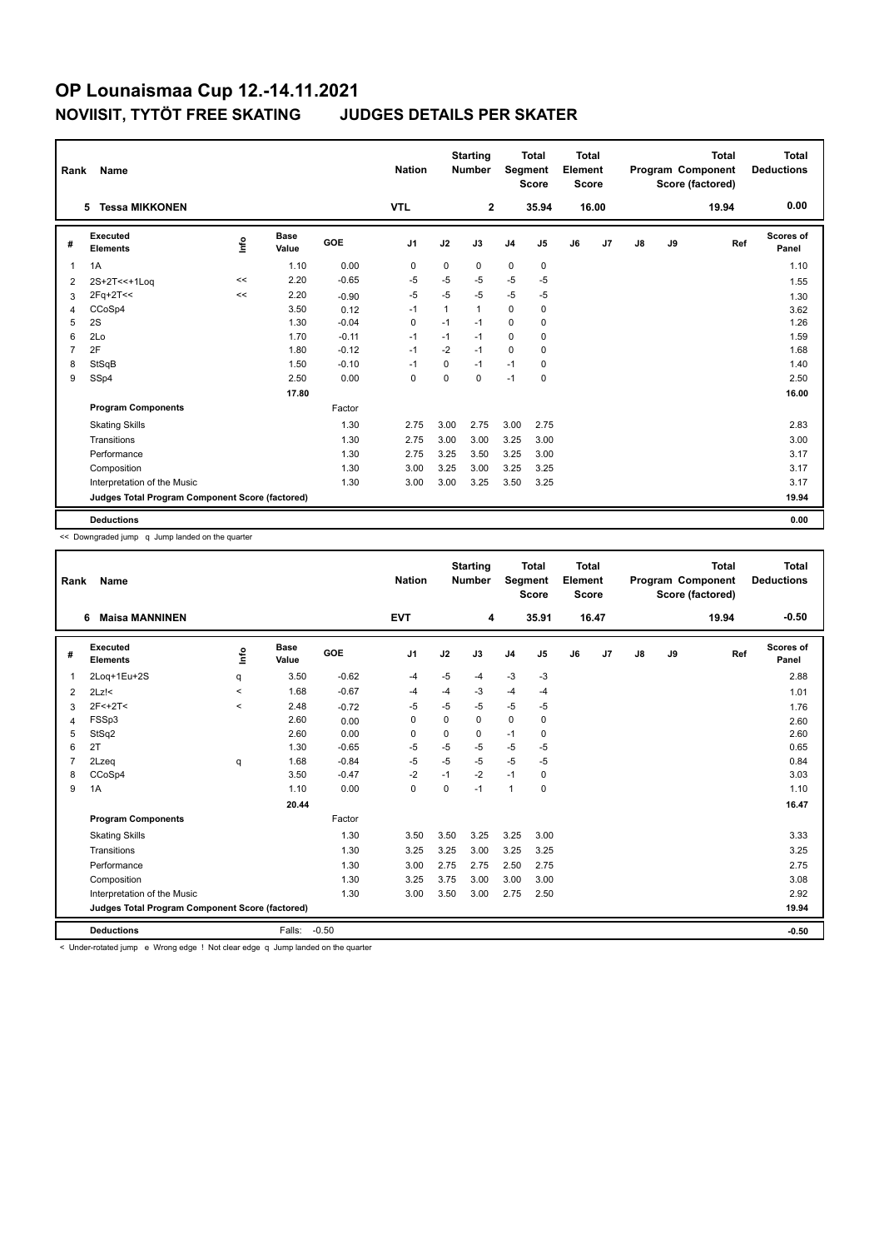| Rank           | Name                                            |      |                      |            | <b>Nation</b>  |              | <b>Starting</b><br><b>Number</b> | Segment        | <b>Total</b><br><b>Score</b> | <b>Total</b><br>Element<br><b>Score</b> |       |    |    | <b>Total</b><br>Program Component<br>Score (factored) | <b>Total</b><br><b>Deductions</b> |
|----------------|-------------------------------------------------|------|----------------------|------------|----------------|--------------|----------------------------------|----------------|------------------------------|-----------------------------------------|-------|----|----|-------------------------------------------------------|-----------------------------------|
|                | <b>Tessa MIKKONEN</b><br>5                      |      |                      |            | <b>VTL</b>     |              | $\overline{2}$                   |                | 35.94                        |                                         | 16.00 |    |    | 19.94                                                 | 0.00                              |
| #              | Executed<br><b>Elements</b>                     | ١nf٥ | <b>Base</b><br>Value | <b>GOE</b> | J <sub>1</sub> | J2           | J3                               | J <sub>4</sub> | J5                           | J6                                      | J7    | J8 | J9 | Ref                                                   | <b>Scores of</b><br>Panel         |
| $\mathbf{1}$   | 1A                                              |      | 1.10                 | 0.00       | 0              | $\mathbf 0$  | 0                                | $\mathbf 0$    | $\mathbf 0$                  |                                         |       |    |    |                                                       | 1.10                              |
| 2              | 2S+2T<<+1Loq                                    | <<   | 2.20                 | $-0.65$    | $-5$           | $-5$         | $-5$                             | $-5$           | $-5$                         |                                         |       |    |    |                                                       | 1.55                              |
| 3              | $2Fq+2T<<$                                      | <<   | 2.20                 | $-0.90$    | $-5$           | $-5$         | $-5$                             | $-5$           | -5                           |                                         |       |    |    |                                                       | 1.30                              |
| 4              | CCoSp4                                          |      | 3.50                 | 0.12       | $-1$           | $\mathbf{1}$ | $\mathbf{1}$                     | $\mathbf 0$    | 0                            |                                         |       |    |    |                                                       | 3.62                              |
| 5              | 2S                                              |      | 1.30                 | $-0.04$    | 0              | $-1$         | $-1$                             | $\mathbf 0$    | $\mathbf 0$                  |                                         |       |    |    |                                                       | 1.26                              |
| 6              | 2Lo                                             |      | 1.70                 | $-0.11$    | $-1$           | $-1$         | $-1$                             | $\mathbf 0$    | 0                            |                                         |       |    |    |                                                       | 1.59                              |
| $\overline{7}$ | 2F                                              |      | 1.80                 | $-0.12$    | $-1$           | $-2$         | $-1$                             | 0              | 0                            |                                         |       |    |    |                                                       | 1.68                              |
| 8              | StSqB                                           |      | 1.50                 | $-0.10$    | $-1$           | 0            | $-1$                             | $-1$           | 0                            |                                         |       |    |    |                                                       | 1.40                              |
| 9              | SSp4                                            |      | 2.50                 | 0.00       | 0              | $\Omega$     | 0                                | $-1$           | 0                            |                                         |       |    |    |                                                       | 2.50                              |
|                |                                                 |      | 17.80                |            |                |              |                                  |                |                              |                                         |       |    |    |                                                       | 16.00                             |
|                | <b>Program Components</b>                       |      |                      | Factor     |                |              |                                  |                |                              |                                         |       |    |    |                                                       |                                   |
|                | <b>Skating Skills</b>                           |      |                      | 1.30       | 2.75           | 3.00         | 2.75                             | 3.00           | 2.75                         |                                         |       |    |    |                                                       | 2.83                              |
|                | Transitions                                     |      |                      | 1.30       | 2.75           | 3.00         | 3.00                             | 3.25           | 3.00                         |                                         |       |    |    |                                                       | 3.00                              |
|                | Performance                                     |      |                      | 1.30       | 2.75           | 3.25         | 3.50                             | 3.25           | 3.00                         |                                         |       |    |    |                                                       | 3.17                              |
|                | Composition                                     |      |                      | 1.30       | 3.00           | 3.25         | 3.00                             | 3.25           | 3.25                         |                                         |       |    |    |                                                       | 3.17                              |
|                | Interpretation of the Music                     |      |                      | 1.30       | 3.00           | 3.00         | 3.25                             | 3.50           | 3.25                         |                                         |       |    |    |                                                       | 3.17                              |
|                | Judges Total Program Component Score (factored) |      |                      |            |                |              |                                  |                |                              |                                         |       |    |    |                                                       | 19.94                             |
|                | <b>Deductions</b>                               |      |                      |            |                |              |                                  |                |                              |                                         |       |    |    |                                                       | 0.00                              |

<< Downgraded jump q Jump landed on the quarter

| Rank           | Name                                            |         |                      |         | <b>Nation</b>  |          | <b>Starting</b><br><b>Number</b> | Segment        | <b>Total</b><br><b>Score</b> | <b>Total</b><br>Element<br><b>Score</b> |                |               |    | <b>Total</b><br>Program Component<br>Score (factored) | Total<br><b>Deductions</b> |
|----------------|-------------------------------------------------|---------|----------------------|---------|----------------|----------|----------------------------------|----------------|------------------------------|-----------------------------------------|----------------|---------------|----|-------------------------------------------------------|----------------------------|
|                | <b>Maisa MANNINEN</b><br>6                      |         |                      |         | <b>EVT</b>     |          | 4                                |                | 35.91                        |                                         | 16.47          |               |    | 19.94                                                 | $-0.50$                    |
| #              | Executed<br><b>Elements</b>                     | ١nfo    | <b>Base</b><br>Value | GOE     | J <sub>1</sub> | J2       | J3                               | J <sub>4</sub> | J <sub>5</sub>               | J6                                      | J <sub>7</sub> | $\mathsf{J}8$ | J9 | Ref                                                   | Scores of<br>Panel         |
| 1              | 2Log+1Eu+2S                                     | q       | 3.50                 | $-0.62$ | $-4$           | $-5$     | -4                               | $-3$           | $-3$                         |                                         |                |               |    |                                                       | 2.88                       |
| 2              | $2Lz$ !<                                        | $\prec$ | 1.68                 | $-0.67$ | -4             | $-4$     | $-3$                             | $-4$           | $-4$                         |                                         |                |               |    |                                                       | 1.01                       |
| 3              | $2F<+2T<$                                       | $\prec$ | 2.48                 | $-0.72$ | $-5$           | $-5$     | $-5$                             | $-5$           | $-5$                         |                                         |                |               |    |                                                       | 1.76                       |
| 4              | FSSp3                                           |         | 2.60                 | 0.00    | 0              | $\Omega$ | $\mathbf 0$                      | $\mathbf 0$    | 0                            |                                         |                |               |    |                                                       | 2.60                       |
| 5              | StSq2                                           |         | 2.60                 | 0.00    | 0              | 0        | 0                                | $-1$           | 0                            |                                         |                |               |    |                                                       | 2.60                       |
| 6              | 2T                                              |         | 1.30                 | $-0.65$ | $-5$           | $-5$     | $-5$                             | $-5$           | $-5$                         |                                         |                |               |    |                                                       | 0.65                       |
| $\overline{7}$ | 2Lzeq                                           | q       | 1.68                 | $-0.84$ | $-5$           | $-5$     | $-5$                             | $-5$           | $-5$                         |                                         |                |               |    |                                                       | 0.84                       |
| 8              | CCoSp4                                          |         | 3.50                 | $-0.47$ | $-2$           | $-1$     | $-2$                             | $-1$           | 0                            |                                         |                |               |    |                                                       | 3.03                       |
| 9              | 1A                                              |         | 1.10                 | 0.00    | $\Omega$       | $\Omega$ | $-1$                             | $\mathbf{1}$   | $\Omega$                     |                                         |                |               |    |                                                       | 1.10                       |
|                |                                                 |         | 20.44                |         |                |          |                                  |                |                              |                                         |                |               |    |                                                       | 16.47                      |
|                | <b>Program Components</b>                       |         |                      | Factor  |                |          |                                  |                |                              |                                         |                |               |    |                                                       |                            |
|                | <b>Skating Skills</b>                           |         |                      | 1.30    | 3.50           | 3.50     | 3.25                             | 3.25           | 3.00                         |                                         |                |               |    |                                                       | 3.33                       |
|                | Transitions                                     |         |                      | 1.30    | 3.25           | 3.25     | 3.00                             | 3.25           | 3.25                         |                                         |                |               |    |                                                       | 3.25                       |
|                | Performance                                     |         |                      | 1.30    | 3.00           | 2.75     | 2.75                             | 2.50           | 2.75                         |                                         |                |               |    |                                                       | 2.75                       |
|                | Composition                                     |         |                      | 1.30    | 3.25           | 3.75     | 3.00                             | 3.00           | 3.00                         |                                         |                |               |    |                                                       | 3.08                       |
|                | Interpretation of the Music                     |         |                      | 1.30    | 3.00           | 3.50     | 3.00                             | 2.75           | 2.50                         |                                         |                |               |    |                                                       | 2.92                       |
|                | Judges Total Program Component Score (factored) |         |                      |         |                |          |                                  |                |                              |                                         |                |               |    |                                                       | 19.94                      |
|                | <b>Deductions</b>                               |         | Falls:               | $-0.50$ |                |          |                                  |                |                              |                                         |                |               |    |                                                       | $-0.50$                    |

< Under-rotated jump e Wrong edge ! Not clear edge q Jump landed on the quarter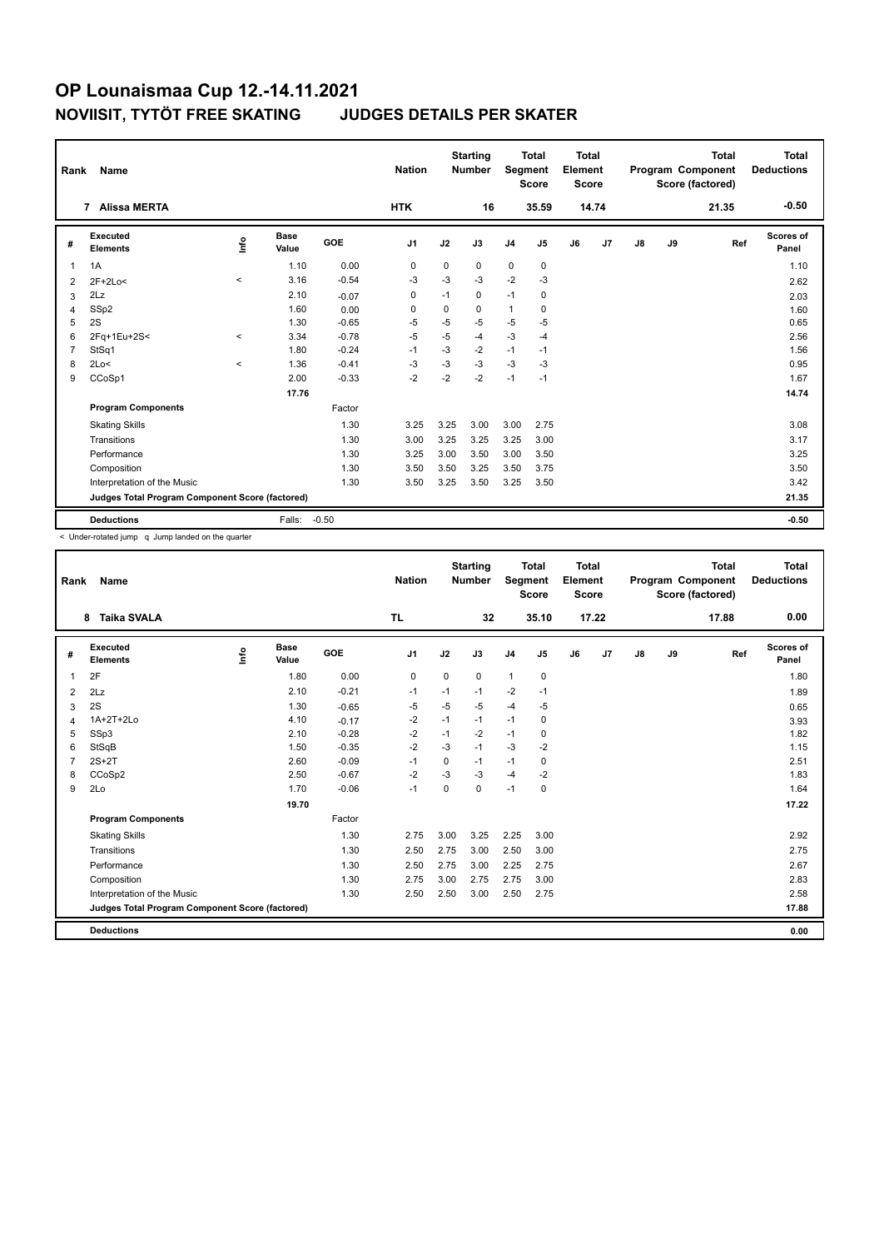| Rank           | Name                                            |          |                      |            | <b>Nation</b>  |             | <b>Starting</b><br><b>Number</b> | Segment        | <b>Total</b><br><b>Score</b> | <b>Total</b><br>Element<br><b>Score</b> |                |               |    | <b>Total</b><br>Program Component<br>Score (factored) | Total<br><b>Deductions</b> |
|----------------|-------------------------------------------------|----------|----------------------|------------|----------------|-------------|----------------------------------|----------------|------------------------------|-----------------------------------------|----------------|---------------|----|-------------------------------------------------------|----------------------------|
|                | <b>Alissa MERTA</b><br>$\overline{7}$           |          |                      |            | <b>HTK</b>     |             | 16                               |                | 35.59                        |                                         | 14.74          |               |    | 21.35                                                 | $-0.50$                    |
| #              | Executed<br><b>Elements</b>                     | lnfo     | <b>Base</b><br>Value | <b>GOE</b> | J <sub>1</sub> | J2          | J3                               | J <sub>4</sub> | J5                           | J6                                      | J <sub>7</sub> | $\mathsf{J}8$ | J9 | Ref                                                   | Scores of<br>Panel         |
| $\overline{1}$ | 1A                                              |          | 1.10                 | 0.00       | 0              | 0           | 0                                | $\mathbf 0$    | 0                            |                                         |                |               |    |                                                       | 1.10                       |
| 2              | $2F+2Lo<$                                       | $\prec$  | 3.16                 | $-0.54$    | $-3$           | $-3$        | $-3$                             | $-2$           | $-3$                         |                                         |                |               |    |                                                       | 2.62                       |
| 3              | 2Lz                                             |          | 2.10                 | $-0.07$    | 0              | $-1$        | 0                                | $-1$           | 0                            |                                         |                |               |    |                                                       | 2.03                       |
| 4              | SSp2                                            |          | 1.60                 | 0.00       | $\mathbf 0$    | $\mathbf 0$ | 0                                | $\mathbf{1}$   | $\mathbf 0$                  |                                         |                |               |    |                                                       | 1.60                       |
| 5              | 2S                                              |          | 1.30                 | $-0.65$    | -5             | -5          | -5                               | -5             | -5                           |                                         |                |               |    |                                                       | 0.65                       |
| 6              | 2Fq+1Eu+2S<                                     | $\hat{}$ | 3.34                 | $-0.78$    | $-5$           | $-5$        | $-4$                             | $-3$           | $-4$                         |                                         |                |               |    |                                                       | 2.56                       |
| $\overline{7}$ | StSq1                                           |          | 1.80                 | $-0.24$    | $-1$           | $-3$        | $-2$                             | $-1$           | $-1$                         |                                         |                |               |    |                                                       | 1.56                       |
| 8              | 2Lo<                                            | $\prec$  | 1.36                 | $-0.41$    | -3             | $-3$        | $-3$                             | $-3$           | -3                           |                                         |                |               |    |                                                       | 0.95                       |
| 9              | CCoSp1                                          |          | 2.00                 | $-0.33$    | $-2$           | $-2$        | $-2$                             | $-1$           | $-1$                         |                                         |                |               |    |                                                       | 1.67                       |
|                |                                                 |          | 17.76                |            |                |             |                                  |                |                              |                                         |                |               |    |                                                       | 14.74                      |
|                | <b>Program Components</b>                       |          |                      | Factor     |                |             |                                  |                |                              |                                         |                |               |    |                                                       |                            |
|                | <b>Skating Skills</b>                           |          |                      | 1.30       | 3.25           | 3.25        | 3.00                             | 3.00           | 2.75                         |                                         |                |               |    |                                                       | 3.08                       |
|                | Transitions                                     |          |                      | 1.30       | 3.00           | 3.25        | 3.25                             | 3.25           | 3.00                         |                                         |                |               |    |                                                       | 3.17                       |
|                | Performance                                     |          |                      | 1.30       | 3.25           | 3.00        | 3.50                             | 3.00           | 3.50                         |                                         |                |               |    |                                                       | 3.25                       |
|                | Composition                                     |          |                      | 1.30       | 3.50           | 3.50        | 3.25                             | 3.50           | 3.75                         |                                         |                |               |    |                                                       | 3.50                       |
|                | Interpretation of the Music                     |          |                      | 1.30       | 3.50           | 3.25        | 3.50                             | 3.25           | 3.50                         |                                         |                |               |    |                                                       | 3.42                       |
|                | Judges Total Program Component Score (factored) |          |                      |            |                |             |                                  |                |                              |                                         |                |               |    |                                                       | 21.35                      |
|                | <b>Deductions</b>                               |          | Falls:               | $-0.50$    |                |             |                                  |                |                              |                                         |                |               |    |                                                       | $-0.50$                    |

| Rank           | <b>Name</b>                                     |                                  |                      |            | <b>Nation</b>  |             | <b>Starting</b><br><b>Number</b> | Segment        | <b>Total</b><br><b>Score</b> | Total<br>Element<br><b>Score</b> |       |               |    | <b>Total</b><br>Program Component<br>Score (factored) | Total<br><b>Deductions</b> |
|----------------|-------------------------------------------------|----------------------------------|----------------------|------------|----------------|-------------|----------------------------------|----------------|------------------------------|----------------------------------|-------|---------------|----|-------------------------------------------------------|----------------------------|
|                | <b>Taika SVALA</b><br>8                         |                                  |                      |            | TL.            |             | 32                               |                | 35.10                        |                                  | 17.22 |               |    | 17.88                                                 | 0.00                       |
| #              | Executed<br><b>Elements</b>                     | $\mathop{\mathsf{Int}}\nolimits$ | <b>Base</b><br>Value | <b>GOE</b> | J <sub>1</sub> | J2          | J3                               | J <sub>4</sub> | J5                           | J6                               | J7    | $\mathsf{J}8$ | J9 | Ref                                                   | Scores of<br>Panel         |
| $\overline{1}$ | 2F                                              |                                  | 1.80                 | 0.00       | 0              | $\mathbf 0$ | 0                                | $\mathbf{1}$   | 0                            |                                  |       |               |    |                                                       | 1.80                       |
| $\overline{2}$ | 2Lz                                             |                                  | 2.10                 | $-0.21$    | $-1$           | $-1$        | $-1$                             | $-2$           | $-1$                         |                                  |       |               |    |                                                       | 1.89                       |
| 3              | 2S                                              |                                  | 1.30                 | $-0.65$    | $-5$           | $-5$        | $-5$                             | $-4$           | $-5$                         |                                  |       |               |    |                                                       | 0.65                       |
| 4              | 1A+2T+2Lo                                       |                                  | 4.10                 | $-0.17$    | $-2$           | $-1$        | $-1$                             | $-1$           | 0                            |                                  |       |               |    |                                                       | 3.93                       |
| 5              | SSp3                                            |                                  | 2.10                 | $-0.28$    | $-2$           | $-1$        | $-2$                             | $-1$           | 0                            |                                  |       |               |    |                                                       | 1.82                       |
| 6              | StSqB                                           |                                  | 1.50                 | $-0.35$    | $-2$           | $-3$        | $-1$                             | $-3$           | $-2$                         |                                  |       |               |    |                                                       | 1.15                       |
| 7              | $2S+2T$                                         |                                  | 2.60                 | $-0.09$    | $-1$           | 0           | $-1$                             | $-1$           | 0                            |                                  |       |               |    |                                                       | 2.51                       |
| 8              | CCoSp2                                          |                                  | 2.50                 | $-0.67$    | $-2$           | $-3$        | $-3$                             | $-4$           | $-2$                         |                                  |       |               |    |                                                       | 1.83                       |
| 9              | 2Lo                                             |                                  | 1.70                 | $-0.06$    | $-1$           | $\Omega$    | $\Omega$                         | $-1$           | $\mathbf 0$                  |                                  |       |               |    |                                                       | 1.64                       |
|                |                                                 |                                  | 19.70                |            |                |             |                                  |                |                              |                                  |       |               |    |                                                       | 17.22                      |
|                | <b>Program Components</b>                       |                                  |                      | Factor     |                |             |                                  |                |                              |                                  |       |               |    |                                                       |                            |
|                | <b>Skating Skills</b>                           |                                  |                      | 1.30       | 2.75           | 3.00        | 3.25                             | 2.25           | 3.00                         |                                  |       |               |    |                                                       | 2.92                       |
|                | Transitions                                     |                                  |                      | 1.30       | 2.50           | 2.75        | 3.00                             | 2.50           | 3.00                         |                                  |       |               |    |                                                       | 2.75                       |
|                | Performance                                     |                                  |                      | 1.30       | 2.50           | 2.75        | 3.00                             | 2.25           | 2.75                         |                                  |       |               |    |                                                       | 2.67                       |
|                | Composition                                     |                                  |                      | 1.30       | 2.75           | 3.00        | 2.75                             | 2.75           | 3.00                         |                                  |       |               |    |                                                       | 2.83                       |
|                | Interpretation of the Music                     |                                  |                      | 1.30       | 2.50           | 2.50        | 3.00                             | 2.50           | 2.75                         |                                  |       |               |    |                                                       | 2.58                       |
|                | Judges Total Program Component Score (factored) |                                  |                      |            |                |             |                                  |                |                              |                                  |       |               |    |                                                       | 17.88                      |
|                | <b>Deductions</b>                               |                                  |                      |            |                |             |                                  |                |                              |                                  |       |               |    |                                                       | 0.00                       |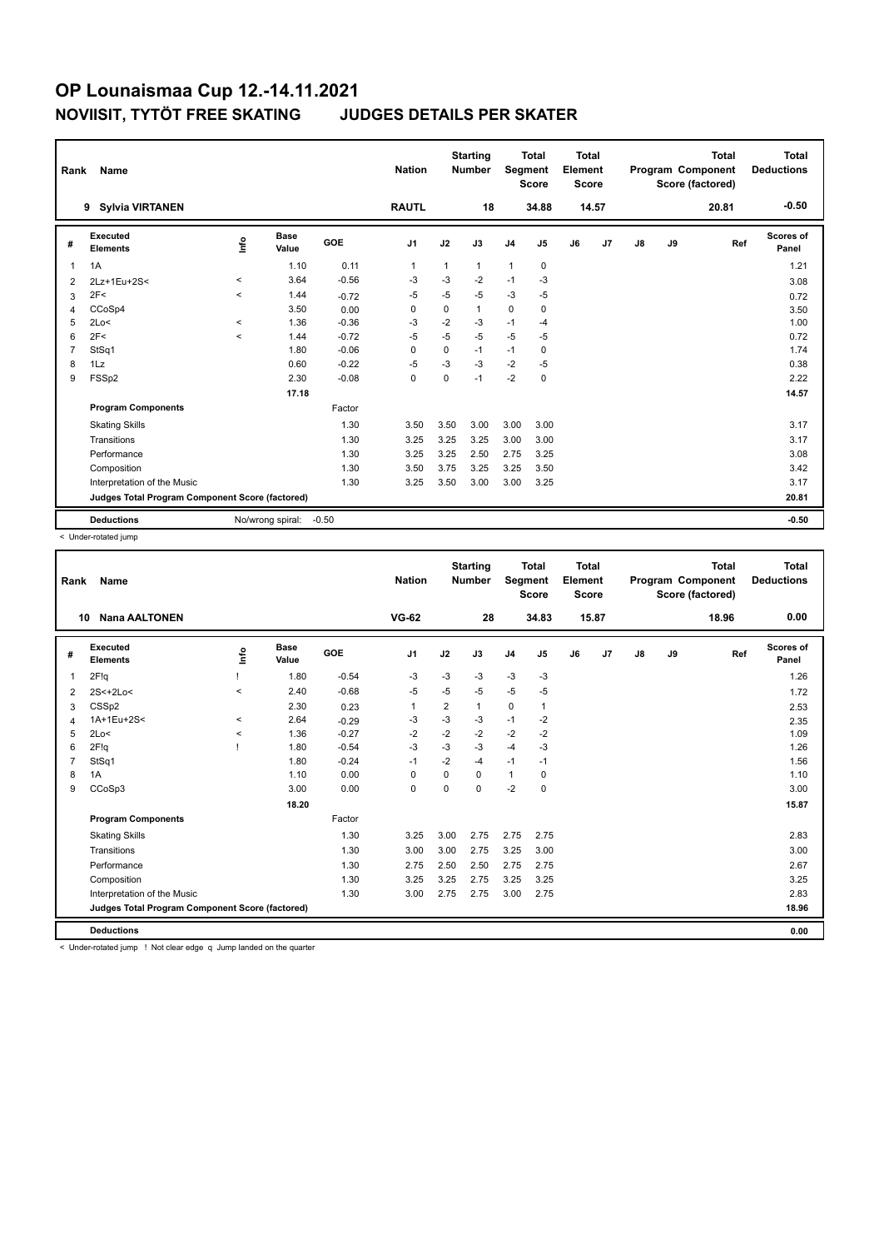| Rank | Name                                            |          |                      |            | <b>Nation</b>  |      | <b>Starting</b><br><b>Number</b> | Segment      | <b>Total</b><br><b>Score</b> | <b>Total</b><br>Element<br>Score |       |               |    | <b>Total</b><br>Program Component<br>Score (factored) | <b>Total</b><br><b>Deductions</b> |
|------|-------------------------------------------------|----------|----------------------|------------|----------------|------|----------------------------------|--------------|------------------------------|----------------------------------|-------|---------------|----|-------------------------------------------------------|-----------------------------------|
|      | 9<br>Sylvia VIRTANEN                            |          |                      |            | <b>RAUTL</b>   |      | 18                               |              | 34.88                        |                                  | 14.57 |               |    | 20.81                                                 | $-0.50$                           |
| #    | Executed<br><b>Elements</b>                     | ١nf٥     | <b>Base</b><br>Value | <b>GOE</b> | J <sub>1</sub> | J2   | J3                               | J4           | J5                           | J6                               | J7    | $\mathsf{J}8$ | J9 | Ref                                                   | Scores of<br>Panel                |
| 1    | 1A                                              |          | 1.10                 | 0.11       | 1              | 1    | $\mathbf{1}$                     | $\mathbf{1}$ | 0                            |                                  |       |               |    |                                                       | 1.21                              |
| 2    | 2Lz+1Eu+2S<                                     | $\,<$    | 3.64                 | $-0.56$    | -3             | $-3$ | $-2$                             | $-1$         | $-3$                         |                                  |       |               |    |                                                       | 3.08                              |
| 3    | 2F<                                             | $\,<$    | 1.44                 | $-0.72$    | -5             | $-5$ | $-5$                             | $-3$         | $-5$                         |                                  |       |               |    |                                                       | 0.72                              |
| 4    | CCoSp4                                          |          | 3.50                 | 0.00       | 0              | 0    | $\mathbf{1}$                     | $\mathbf 0$  | 0                            |                                  |       |               |    |                                                       | 3.50                              |
| 5    | 2Lo<                                            | $\hat{}$ | 1.36                 | $-0.36$    | $-3$           | $-2$ | $-3$                             | $-1$         | -4                           |                                  |       |               |    |                                                       | 1.00                              |
| 6    | 2F<                                             | $\,<$    | 1.44                 | $-0.72$    | $-5$           | $-5$ | $-5$                             | $-5$         | $-5$                         |                                  |       |               |    |                                                       | 0.72                              |
| 7    | StSq1                                           |          | 1.80                 | $-0.06$    | $\Omega$       | 0    | $-1$                             | $-1$         | 0                            |                                  |       |               |    |                                                       | 1.74                              |
| 8    | 1Lz                                             |          | 0.60                 | $-0.22$    | $-5$           | $-3$ | $-3$                             | $-2$         | -5                           |                                  |       |               |    |                                                       | 0.38                              |
| 9    | FSSp2                                           |          | 2.30                 | $-0.08$    | $\mathbf 0$    | 0    | $-1$                             | $-2$         | 0                            |                                  |       |               |    |                                                       | 2.22                              |
|      |                                                 |          | 17.18                |            |                |      |                                  |              |                              |                                  |       |               |    |                                                       | 14.57                             |
|      | <b>Program Components</b>                       |          |                      | Factor     |                |      |                                  |              |                              |                                  |       |               |    |                                                       |                                   |
|      | <b>Skating Skills</b>                           |          |                      | 1.30       | 3.50           | 3.50 | 3.00                             | 3.00         | 3.00                         |                                  |       |               |    |                                                       | 3.17                              |
|      | Transitions                                     |          |                      | 1.30       | 3.25           | 3.25 | 3.25                             | 3.00         | 3.00                         |                                  |       |               |    |                                                       | 3.17                              |
|      | Performance                                     |          |                      | 1.30       | 3.25           | 3.25 | 2.50                             | 2.75         | 3.25                         |                                  |       |               |    |                                                       | 3.08                              |
|      | Composition                                     |          |                      | 1.30       | 3.50           | 3.75 | 3.25                             | 3.25         | 3.50                         |                                  |       |               |    |                                                       | 3.42                              |
|      | Interpretation of the Music                     |          |                      | 1.30       | 3.25           | 3.50 | 3.00                             | 3.00         | 3.25                         |                                  |       |               |    |                                                       | 3.17                              |
|      | Judges Total Program Component Score (factored) |          |                      |            |                |      |                                  |              |                              |                                  |       |               |    |                                                       | 20.81                             |
|      | <b>Deductions</b>                               |          | No/wrong spiral:     | $-0.50$    |                |      |                                  |              |                              |                                  |       |               |    |                                                       | $-0.50$                           |

< Under-rotated jump

| Rank           | Name                                            |         |               |            | <b>Nation</b>  |                | <b>Starting</b><br><b>Number</b> | Segment        | <b>Total</b><br><b>Score</b> | Total<br>Element<br>Score |                |               |    | <b>Total</b><br>Program Component<br>Score (factored) | <b>Total</b><br><b>Deductions</b> |
|----------------|-------------------------------------------------|---------|---------------|------------|----------------|----------------|----------------------------------|----------------|------------------------------|---------------------------|----------------|---------------|----|-------------------------------------------------------|-----------------------------------|
| 10             | <b>Nana AALTONEN</b>                            |         |               |            | <b>VG-62</b>   |                | 28                               |                | 34.83                        |                           | 15.87          |               |    | 18.96                                                 | 0.00                              |
| #              | Executed<br><b>Elements</b>                     | Info    | Base<br>Value | <b>GOE</b> | J <sub>1</sub> | J2             | J3                               | J <sub>4</sub> | J <sub>5</sub>               | J6                        | J <sub>7</sub> | $\mathsf{J}8$ | J9 | Ref                                                   | Scores of<br>Panel                |
| $\mathbf{1}$   | 2F!q                                            |         | 1.80          | $-0.54$    | -3             | $-3$           | $-3$                             | $-3$           | $-3$                         |                           |                |               |    |                                                       | 1.26                              |
| 2              | $2S<+2Lo<$                                      | $\prec$ | 2.40          | $-0.68$    | $-5$           | $-5$           | $-5$                             | $-5$           | $-5$                         |                           |                |               |    |                                                       | 1.72                              |
| 3              | CSSp2                                           |         | 2.30          | 0.23       | 1              | $\overline{2}$ | $\mathbf{1}$                     | 0              | $\mathbf{1}$                 |                           |                |               |    |                                                       | 2.53                              |
| $\overline{4}$ | 1A+1Eu+2S<                                      | $\prec$ | 2.64          | $-0.29$    | $-3$           | $-3$           | $-3$                             | $-1$           | $-2$                         |                           |                |               |    |                                                       | 2.35                              |
| 5              | 2Lo<                                            | $\,<$   | 1.36          | $-0.27$    | $-2$           | $-2$           | $-2$                             | $-2$           | $-2$                         |                           |                |               |    |                                                       | 1.09                              |
| 6              | 2F!q                                            |         | 1.80          | $-0.54$    | $-3$           | $-3$           | $-3$                             | $-4$           | $-3$                         |                           |                |               |    |                                                       | 1.26                              |
| $\overline{7}$ | StSq1                                           |         | 1.80          | $-0.24$    | $-1$           | $-2$           | $-4$                             | $-1$           | $-1$                         |                           |                |               |    |                                                       | 1.56                              |
| 8              | 1A                                              |         | 1.10          | 0.00       | 0              | $\Omega$       | $\Omega$                         | $\mathbf{1}$   | 0                            |                           |                |               |    |                                                       | 1.10                              |
| 9              | CCoSp3                                          |         | 3.00          | 0.00       | 0              | $\mathbf 0$    | 0                                | $-2$           | 0                            |                           |                |               |    |                                                       | 3.00                              |
|                |                                                 |         | 18.20         |            |                |                |                                  |                |                              |                           |                |               |    |                                                       | 15.87                             |
|                | <b>Program Components</b>                       |         |               | Factor     |                |                |                                  |                |                              |                           |                |               |    |                                                       |                                   |
|                | <b>Skating Skills</b>                           |         |               | 1.30       | 3.25           | 3.00           | 2.75                             | 2.75           | 2.75                         |                           |                |               |    |                                                       | 2.83                              |
|                | Transitions                                     |         |               | 1.30       | 3.00           | 3.00           | 2.75                             | 3.25           | 3.00                         |                           |                |               |    |                                                       | 3.00                              |
|                | Performance                                     |         |               | 1.30       | 2.75           | 2.50           | 2.50                             | 2.75           | 2.75                         |                           |                |               |    |                                                       | 2.67                              |
|                | Composition                                     |         |               | 1.30       | 3.25           | 3.25           | 2.75                             | 3.25           | 3.25                         |                           |                |               |    |                                                       | 3.25                              |
|                | Interpretation of the Music                     |         |               | 1.30       | 3.00           | 2.75           | 2.75                             | 3.00           | 2.75                         |                           |                |               |    |                                                       | 2.83                              |
|                | Judges Total Program Component Score (factored) |         |               |            |                |                |                                  |                |                              |                           |                |               |    |                                                       | 18.96                             |
|                | <b>Deductions</b>                               |         |               |            |                |                |                                  |                |                              |                           |                |               |    |                                                       | 0.00                              |

< Under-rotated jump ! Not clear edge q Jump landed on the quarter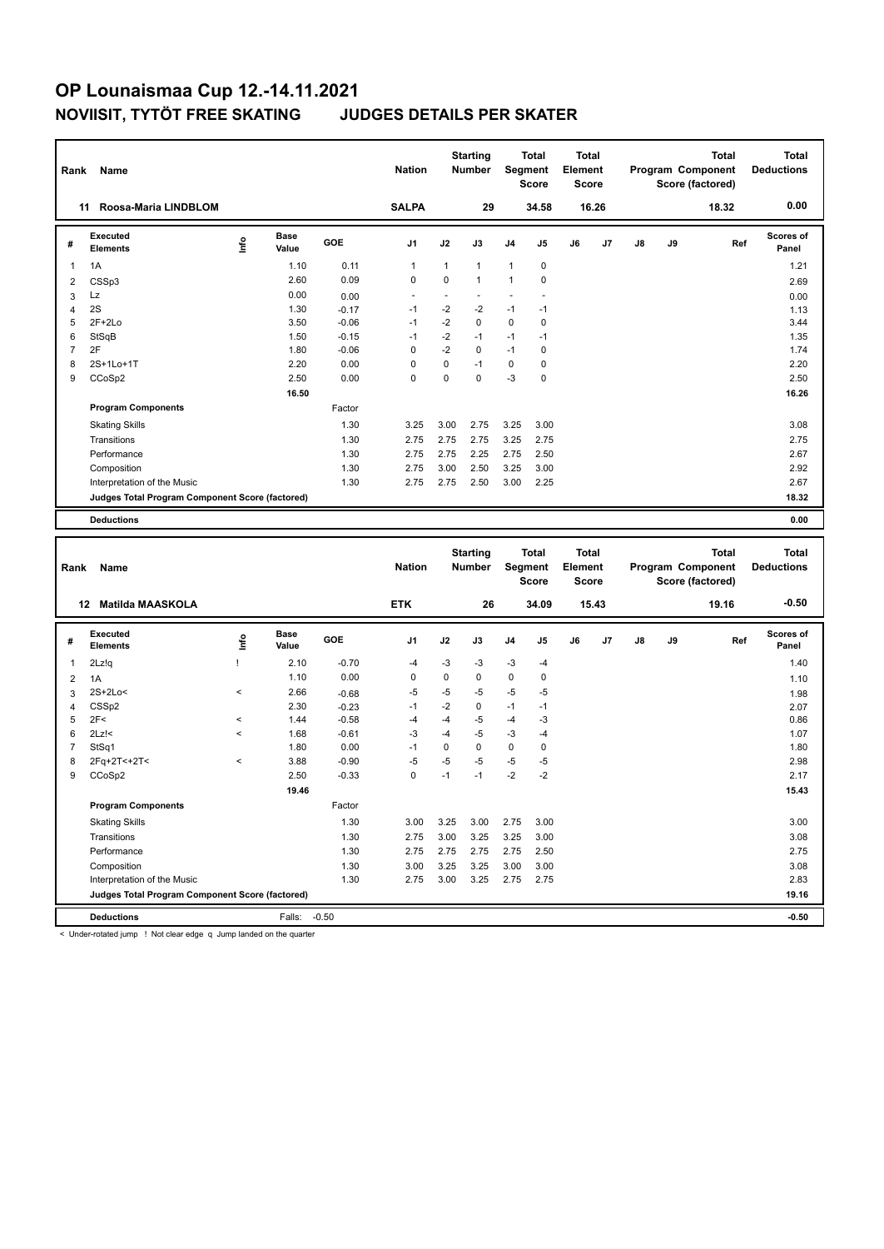| <b>SALPA</b><br>Roosa-Maria LINDBLOM<br>29<br>34.58<br>16.26<br>11<br><b>Executed</b><br><b>Base</b>                                                                                 | Program Component<br>Score (factored) | <b>Total</b><br><b>Deductions</b> |
|--------------------------------------------------------------------------------------------------------------------------------------------------------------------------------------|---------------------------------------|-----------------------------------|
|                                                                                                                                                                                      | 18.32                                 | 0.00                              |
| $\mathop{\mathsf{Irr}}\nolimits$<br><b>GOE</b><br>J7<br>J8<br>J9<br>J <sub>1</sub><br>J2<br>J3<br>J4<br>J5<br>J6<br>#<br>Value<br><b>Elements</b>                                    | Ref                                   | Scores of<br>Panel                |
| 1A<br>1.10<br>0.11<br>$\mathbf{1}$<br>$\mathbf{1}$<br>$\mathbf{1}$<br>$\mathbf 0$<br>$\mathbf{1}$<br>$\mathbf{1}$                                                                    |                                       | 1.21                              |
| 2.60<br>0.09<br>$\mathbf 0$<br>$\mathbf 0$<br>$\pmb{0}$<br>$\mathbf{1}$<br>1<br>$\overline{\mathbf{c}}$<br>CSSp3                                                                     |                                       | 2.69                              |
| 0.00<br>Lz<br>L.<br>3<br>0.00<br>÷,<br>÷,<br>L,<br>÷,                                                                                                                                |                                       | 0.00                              |
| 2S<br>$-2$<br>$-2$<br>1.30<br>$-1$<br>$-1$<br>$-1$<br>$\overline{4}$<br>$-0.17$                                                                                                      |                                       | 1.13                              |
| $-2$<br>$\mathbf 0$<br>$\mathbf 0$<br>$\mathbf 0$<br>5<br>$2F+2Lo$<br>3.50<br>$-0.06$<br>$-1$                                                                                        |                                       | 3.44                              |
| $-2$<br>6<br>StSqB<br>1.50<br>$-1$<br>$-1$<br>$-0.15$<br>$-1$<br>$-1$                                                                                                                |                                       | 1.35                              |
| $\overline{7}$<br>2F<br>$\mathbf 0$<br>$-2$<br>$\mathbf 0$<br>$\pmb{0}$<br>1.80<br>$-0.06$<br>$-1$                                                                                   |                                       | 1.74                              |
| $\mathbf 0$<br>$\pmb{0}$<br>$-1$<br>8<br>2S+1Lo+1T<br>2.20<br>0.00<br>0<br>$\pmb{0}$                                                                                                 |                                       | 2.20                              |
| 0<br>$-3$<br>9<br>CCoSp2<br>2.50<br>0.00<br>$\Omega$<br>$\Omega$<br>$\pmb{0}$                                                                                                        |                                       | 2.50                              |
| 16.50                                                                                                                                                                                |                                       | 16.26                             |
| Factor<br><b>Program Components</b>                                                                                                                                                  |                                       |                                   |
| 3.25<br>3.25<br>1.30<br>3.00<br>2.75<br>3.00<br><b>Skating Skills</b>                                                                                                                |                                       | 3.08                              |
| 2.75<br>2.75<br>2.75<br>3.25<br>Transitions<br>1.30<br>2.75                                                                                                                          |                                       | 2.75                              |
| 1.30<br>2.75<br>2.75<br>2.25<br>2.75<br>2.50<br>Performance                                                                                                                          |                                       | 2.67                              |
| 2.75<br>2.50<br>1.30<br>3.00<br>3.25<br>3.00<br>Composition                                                                                                                          |                                       | 2.92                              |
| 1.30<br>2.75<br>2.75<br>2.50<br>3.00<br>2.25<br>Interpretation of the Music                                                                                                          |                                       | 2.67                              |
| Judges Total Program Component Score (factored)                                                                                                                                      |                                       | 18.32                             |
| <b>Deductions</b>                                                                                                                                                                    |                                       | 0.00                              |
|                                                                                                                                                                                      |                                       |                                   |
| <b>Starting</b><br><b>Total</b><br><b>Total</b><br><b>Nation</b><br>Segment<br>Element<br>Program Component<br><b>Number</b><br>Rank<br>Name                                         | <b>Total</b>                          | <b>Total</b><br><b>Deductions</b> |
| <b>Score</b><br><b>Score</b><br>Score (factored)                                                                                                                                     |                                       |                                   |
|                                                                                                                                                                                      |                                       |                                   |
| <b>ETK</b><br>12 Matilda MAASKOLA<br>26<br>34.09<br>15.43                                                                                                                            | 19.16                                 | $-0.50$                           |
| <b>Executed</b><br><b>Base</b><br>lnfo<br>GOE<br>J <sub>1</sub><br>J2<br>J3<br>J4<br>J5<br>J6<br>J <sub>7</sub><br>J8<br>J9<br>#<br>Elements<br>Value                                | Ref                                   | <b>Scores of</b><br>Panel         |
| $\mathbf{1}$<br>2Lz!q<br>Ţ<br>2.10<br>$-0.70$<br>$-4$<br>$-3$<br>-3<br>$-3$<br>$-4$                                                                                                  |                                       | 1.40                              |
| $\pmb{0}$<br>1.10<br>0.00<br>$\mathbf 0$<br>0<br>0<br>$\pmb{0}$<br>$\overline{2}$<br>1A                                                                                              |                                       | 1.10                              |
| $\overline{\phantom{a}}$<br>-5                                                                                                                                                       |                                       |                                   |
| $-5$<br>$-5$<br>2S+2Lo<<br>2.66<br>$-5$<br>$-5$<br>3<br>$-0.68$<br>$-1$                                                                                                              |                                       | 1.98                              |
| $-2$<br>CSS <sub>p2</sub><br>2.30<br>0<br>$-1$<br>$-1$<br>$-0.23$<br>$\overline{4}$<br>5<br>2F<<br>1.44<br>$-4$<br>$-4$<br>-5<br>$-3$<br>$\overline{\phantom{a}}$<br>$-0.58$<br>$-4$ |                                       | 2.07<br>0.86                      |
| 6<br>$-3$<br>$-5$<br>$2Lz$ !<<br>$\overline{\phantom{a}}$<br>1.68<br>$-0.61$<br>$-4$<br>$-3$<br>$-4$                                                                                 |                                       | 1.07                              |
| $\mathbf 0$<br>$\mathbf 0$<br>$\mathbf 0$<br>$\overline{7}$<br>StSq1<br>1.80<br>0.00<br>$-1$<br>0                                                                                    |                                       | 1.80                              |
| 8<br>2Fq+2T<+2T<<br>3.88<br>$-0.90$<br>$-5$<br>$-5$<br>-5<br>$-5$<br>-5<br>$\overline{\phantom{a}}$                                                                                  |                                       | 2.98                              |
| 9<br>$\mathbf 0$<br>$-2$<br>$-2$<br>CCoSp2<br>2.50<br>$-0.33$<br>$-1$<br>$-1$                                                                                                        |                                       | 2.17                              |
| 19.46                                                                                                                                                                                |                                       | 15.43                             |
|                                                                                                                                                                                      |                                       |                                   |
| <b>Program Components</b><br>Factor                                                                                                                                                  |                                       |                                   |
| <b>Skating Skills</b><br>1.30<br>3.00<br>3.25<br>3.00<br>2.75<br>3.00<br>3.00<br>1.30<br>2.75<br>3.00<br>3.25<br>3.25<br>Transitions                                                 |                                       | 3.00<br>3.08                      |

Composition 1.30 3.00 3.25 3.25 3.00 3.00 3.08 Interpretation of the Music 2.83 2.75 3.00 3.25 2.75 2.75 2.75 2.75 2.83

**Judges Total Program Component Score (factored) 19.16**

**Deductions** Falls: -0.50 **-0.50**

< Under-rotated jump ! Not clear edge q Jump landed on the quarter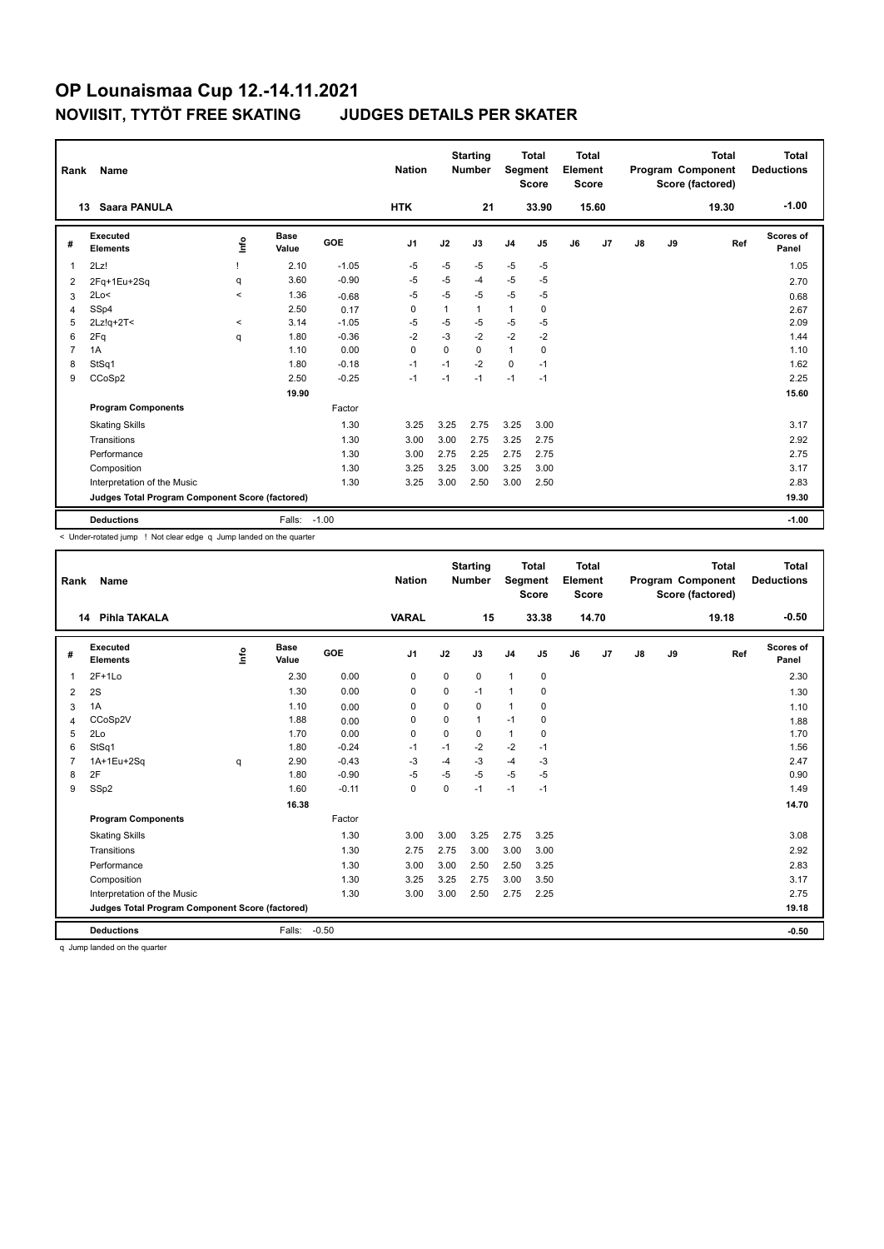| Rank           | Name                                            |         |                      |         | <b>Nation</b>  |          | <b>Starting</b><br><b>Number</b> | Segment        | <b>Total</b><br><b>Score</b> | <b>Total</b><br>Element<br><b>Score</b> |       |               |    | <b>Total</b><br><b>Program Component</b><br>Score (factored) | <b>Total</b><br><b>Deductions</b> |
|----------------|-------------------------------------------------|---------|----------------------|---------|----------------|----------|----------------------------------|----------------|------------------------------|-----------------------------------------|-------|---------------|----|--------------------------------------------------------------|-----------------------------------|
|                | Saara PANULA<br>13                              |         |                      |         | <b>HTK</b>     |          | 21                               |                | 33.90                        |                                         | 15.60 |               |    | 19.30                                                        | $-1.00$                           |
| #              | Executed<br><b>Elements</b>                     | ١nf٥    | <b>Base</b><br>Value | GOE     | J <sub>1</sub> | J2       | J3                               | J <sub>4</sub> | J5                           | J6                                      | J7    | $\mathsf{J}8$ | J9 | Ref                                                          | <b>Scores of</b><br>Panel         |
| $\overline{1}$ | 2Lz!                                            |         | 2.10                 | $-1.05$ | -5             | $-5$     | $-5$                             | $-5$           | $-5$                         |                                         |       |               |    |                                                              | 1.05                              |
| 2              | 2Fq+1Eu+2Sq                                     | q       | 3.60                 | $-0.90$ | -5             | $-5$     | $-4$                             | $-5$           | $-5$                         |                                         |       |               |    |                                                              | 2.70                              |
| 3              | 2Lo<                                            | $\prec$ | 1.36                 | $-0.68$ | -5             | $-5$     | $-5$                             | $-5$           | $-5$                         |                                         |       |               |    |                                                              | 0.68                              |
| $\overline{4}$ | SSp4                                            |         | 2.50                 | 0.17    | $\Omega$       | 1        | $\mathbf{1}$                     | $\mathbf{1}$   | $\mathbf 0$                  |                                         |       |               |    |                                                              | 2.67                              |
| 5              | $2Lz!q+2T<$                                     | $\prec$ | 3.14                 | $-1.05$ | -5             | $-5$     | $-5$                             | $-5$           | $-5$                         |                                         |       |               |    |                                                              | 2.09                              |
| 6              | 2Fq                                             | q       | 1.80                 | $-0.36$ | $-2$           | $-3$     | $-2$                             | $-2$           | $-2$                         |                                         |       |               |    |                                                              | 1.44                              |
| $\overline{7}$ | 1A                                              |         | 1.10                 | 0.00    | 0              | $\Omega$ | $\Omega$                         | $\mathbf{1}$   | 0                            |                                         |       |               |    |                                                              | 1.10                              |
| 8              | StSq1                                           |         | 1.80                 | $-0.18$ | $-1$           | $-1$     | $-2$                             | $\Omega$       | $-1$                         |                                         |       |               |    |                                                              | 1.62                              |
| 9              | CCoSp2                                          |         | 2.50                 | $-0.25$ | $-1$           | $-1$     | $-1$                             | $-1$           | $-1$                         |                                         |       |               |    |                                                              | 2.25                              |
|                |                                                 |         | 19.90                |         |                |          |                                  |                |                              |                                         |       |               |    |                                                              | 15.60                             |
|                | <b>Program Components</b>                       |         |                      | Factor  |                |          |                                  |                |                              |                                         |       |               |    |                                                              |                                   |
|                | <b>Skating Skills</b>                           |         |                      | 1.30    | 3.25           | 3.25     | 2.75                             | 3.25           | 3.00                         |                                         |       |               |    |                                                              | 3.17                              |
|                | Transitions                                     |         |                      | 1.30    | 3.00           | 3.00     | 2.75                             | 3.25           | 2.75                         |                                         |       |               |    |                                                              | 2.92                              |
|                | Performance                                     |         |                      | 1.30    | 3.00           | 2.75     | 2.25                             | 2.75           | 2.75                         |                                         |       |               |    |                                                              | 2.75                              |
|                | Composition                                     |         |                      | 1.30    | 3.25           | 3.25     | 3.00                             | 3.25           | 3.00                         |                                         |       |               |    |                                                              | 3.17                              |
|                | Interpretation of the Music                     |         |                      | 1.30    | 3.25           | 3.00     | 2.50                             | 3.00           | 2.50                         |                                         |       |               |    |                                                              | 2.83                              |
|                | Judges Total Program Component Score (factored) |         |                      |         |                |          |                                  |                |                              |                                         |       |               |    |                                                              | 19.30                             |
|                | <b>Deductions</b>                               |         | Falls:               | $-1.00$ |                |          |                                  |                |                              |                                         |       |               |    |                                                              | $-1.00$                           |

< Under-rotated jump ! Not clear edge q Jump landed on the quarter

| Rank           | Name                                            |      |                      |         | <b>Nation</b>  |             | <b>Starting</b><br><b>Number</b> | Segment        | <b>Total</b><br><b>Score</b> | <b>Total</b><br>Element<br><b>Score</b> |       |               |    | <b>Total</b><br>Program Component<br>Score (factored) | <b>Total</b><br><b>Deductions</b> |
|----------------|-------------------------------------------------|------|----------------------|---------|----------------|-------------|----------------------------------|----------------|------------------------------|-----------------------------------------|-------|---------------|----|-------------------------------------------------------|-----------------------------------|
|                | Pihla TAKALA<br>14                              |      |                      |         | <b>VARAL</b>   |             | 15                               |                | 33.38                        |                                         | 14.70 |               |    | 19.18                                                 | $-0.50$                           |
| #              | Executed<br><b>Elements</b>                     | Life | <b>Base</b><br>Value | GOE     | J <sub>1</sub> | J2          | J3                               | J <sub>4</sub> | J <sub>5</sub>               | J6                                      | J7    | $\mathsf{J}8$ | J9 | Ref                                                   | <b>Scores of</b><br>Panel         |
| 1              | $2F+1Lo$                                        |      | 2.30                 | 0.00    | 0              | 0           | 0                                | $\mathbf{1}$   | 0                            |                                         |       |               |    |                                                       | 2.30                              |
| 2              | 2S                                              |      | 1.30                 | 0.00    | $\mathbf 0$    | $\mathbf 0$ | $-1$                             | $\overline{1}$ | 0                            |                                         |       |               |    |                                                       | 1.30                              |
| 3              | 1A                                              |      | 1.10                 | 0.00    | 0              | 0           | 0                                | $\overline{1}$ | 0                            |                                         |       |               |    |                                                       | 1.10                              |
| 4              | CCoSp2V                                         |      | 1.88                 | 0.00    | 0              | 0           | $\mathbf{1}$                     | $-1$           | $\mathbf 0$                  |                                         |       |               |    |                                                       | 1.88                              |
| 5              | 2Lo                                             |      | 1.70                 | 0.00    | $\mathbf 0$    | $\mathbf 0$ | 0                                | $\mathbf{1}$   | 0                            |                                         |       |               |    |                                                       | 1.70                              |
| 6              | StSq1                                           |      | 1.80                 | $-0.24$ | $-1$           | $-1$        | $-2$                             | $-2$           | $-1$                         |                                         |       |               |    |                                                       | 1.56                              |
| $\overline{7}$ | 1A+1Eu+2Sq                                      | q    | 2.90                 | $-0.43$ | -3             | -4          | $-3$                             | -4             | -3                           |                                         |       |               |    |                                                       | 2.47                              |
| 8              | 2F                                              |      | 1.80                 | $-0.90$ | $-5$           | $-5$        | $-5$                             | $-5$           | $-5$                         |                                         |       |               |    |                                                       | 0.90                              |
| 9              | SSp2                                            |      | 1.60                 | $-0.11$ | $\mathbf 0$    | $\Omega$    | $-1$                             | $-1$           | $-1$                         |                                         |       |               |    |                                                       | 1.49                              |
|                |                                                 |      | 16.38                |         |                |             |                                  |                |                              |                                         |       |               |    |                                                       | 14.70                             |
|                | <b>Program Components</b>                       |      |                      | Factor  |                |             |                                  |                |                              |                                         |       |               |    |                                                       |                                   |
|                | <b>Skating Skills</b>                           |      |                      | 1.30    | 3.00           | 3.00        | 3.25                             | 2.75           | 3.25                         |                                         |       |               |    |                                                       | 3.08                              |
|                | Transitions                                     |      |                      | 1.30    | 2.75           | 2.75        | 3.00                             | 3.00           | 3.00                         |                                         |       |               |    |                                                       | 2.92                              |
|                | Performance                                     |      |                      | 1.30    | 3.00           | 3.00        | 2.50                             | 2.50           | 3.25                         |                                         |       |               |    |                                                       | 2.83                              |
|                | Composition                                     |      |                      | 1.30    | 3.25           | 3.25        | 2.75                             | 3.00           | 3.50                         |                                         |       |               |    |                                                       | 3.17                              |
|                | Interpretation of the Music                     |      |                      | 1.30    | 3.00           | 3.00        | 2.50                             | 2.75           | 2.25                         |                                         |       |               |    |                                                       | 2.75                              |
|                | Judges Total Program Component Score (factored) |      |                      |         |                |             |                                  |                |                              |                                         |       |               |    |                                                       | 19.18                             |
|                | <b>Deductions</b>                               |      | Falls:               | $-0.50$ |                |             |                                  |                |                              |                                         |       |               |    |                                                       | $-0.50$                           |

q Jump landed on the quarter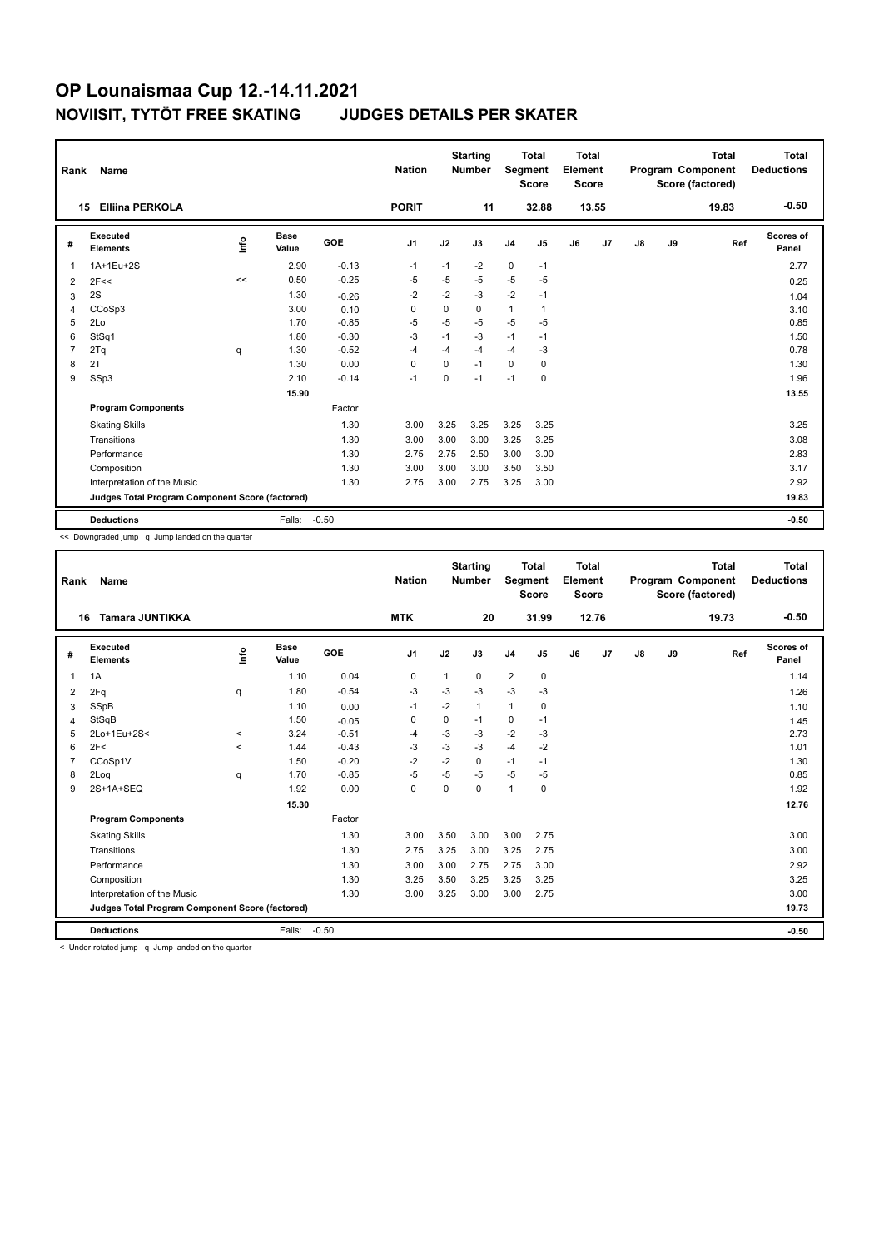| Rank           | Name                                            |      |                      |         | <b>Nation</b> |             | <b>Starting</b><br><b>Number</b> | Segment        | <b>Total</b><br><b>Score</b> | Total<br>Element<br>Score |       |               |    | Total<br>Program Component<br>Score (factored) | Total<br><b>Deductions</b> |
|----------------|-------------------------------------------------|------|----------------------|---------|---------------|-------------|----------------------------------|----------------|------------------------------|---------------------------|-------|---------------|----|------------------------------------------------|----------------------------|
| 15             | <b>Elliina PERKOLA</b>                          |      |                      |         | <b>PORIT</b>  |             | 11                               |                | 32.88                        |                           | 13.55 |               |    | 19.83                                          | $-0.50$                    |
| #              | Executed<br><b>Elements</b>                     | lnfo | <b>Base</b><br>Value | GOE     | J1            | J2          | J3                               | J <sub>4</sub> | J5                           | J6                        | J7    | $\mathsf{J}8$ | J9 | Ref                                            | <b>Scores of</b><br>Panel  |
| 1              | 1A+1Eu+2S                                       |      | 2.90                 | $-0.13$ | $-1$          | $-1$        | $-2$                             | $\mathbf 0$    | $-1$                         |                           |       |               |    |                                                | 2.77                       |
| 2              | 2F<<                                            | <<   | 0.50                 | $-0.25$ | $-5$          | $-5$        | $-5$                             | $-5$           | $-5$                         |                           |       |               |    |                                                | 0.25                       |
| 3              | 2S                                              |      | 1.30                 | $-0.26$ | $-2$          | $-2$        | $-3$                             | $-2$           | $-1$                         |                           |       |               |    |                                                | 1.04                       |
| $\overline{4}$ | CCoSp3                                          |      | 3.00                 | 0.10    | 0             | $\mathbf 0$ | $\Omega$                         | $\mathbf{1}$   | $\mathbf{1}$                 |                           |       |               |    |                                                | 3.10                       |
| 5              | 2Lo                                             |      | 1.70                 | $-0.85$ | $-5$          | $-5$        | $-5$                             | $-5$           | $-5$                         |                           |       |               |    |                                                | 0.85                       |
| 6              | StSq1                                           |      | 1.80                 | $-0.30$ | $-3$          | $-1$        | $-3$                             | $-1$           | $-1$                         |                           |       |               |    |                                                | 1.50                       |
| $\overline{7}$ | 2Tq                                             | q    | 1.30                 | $-0.52$ | $-4$          | $-4$        | $-4$                             | $-4$           | -3                           |                           |       |               |    |                                                | 0.78                       |
| 8              | 2T                                              |      | 1.30                 | 0.00    | $\Omega$      | $\mathbf 0$ | $-1$                             | $\mathbf 0$    | 0                            |                           |       |               |    |                                                | 1.30                       |
| 9              | SSp3                                            |      | 2.10                 | $-0.14$ | $-1$          | 0           | $-1$                             | $-1$           | $\mathbf 0$                  |                           |       |               |    |                                                | 1.96                       |
|                |                                                 |      | 15.90                |         |               |             |                                  |                |                              |                           |       |               |    |                                                | 13.55                      |
|                | <b>Program Components</b>                       |      |                      | Factor  |               |             |                                  |                |                              |                           |       |               |    |                                                |                            |
|                | <b>Skating Skills</b>                           |      |                      | 1.30    | 3.00          | 3.25        | 3.25                             | 3.25           | 3.25                         |                           |       |               |    |                                                | 3.25                       |
|                | Transitions                                     |      |                      | 1.30    | 3.00          | 3.00        | 3.00                             | 3.25           | 3.25                         |                           |       |               |    |                                                | 3.08                       |
|                | Performance                                     |      |                      | 1.30    | 2.75          | 2.75        | 2.50                             | 3.00           | 3.00                         |                           |       |               |    |                                                | 2.83                       |
|                | Composition                                     |      |                      | 1.30    | 3.00          | 3.00        | 3.00                             | 3.50           | 3.50                         |                           |       |               |    |                                                | 3.17                       |
|                | Interpretation of the Music                     |      |                      | 1.30    | 2.75          | 3.00        | 2.75                             | 3.25           | 3.00                         |                           |       |               |    |                                                | 2.92                       |
|                | Judges Total Program Component Score (factored) |      |                      |         |               |             |                                  |                |                              |                           |       |               |    |                                                | 19.83                      |
|                | <b>Deductions</b>                               |      | Falls:               | $-0.50$ |               |             |                                  |                |                              |                           |       |               |    |                                                | $-0.50$                    |

<< Downgraded jump q Jump landed on the quarter

| Rank           | <b>Name</b>                                     |             |                      |         | <b>Nation</b>  |              | <b>Starting</b><br><b>Number</b> | Segment        | <b>Total</b><br><b>Score</b> | Total<br>Element<br><b>Score</b> |       |    |    | <b>Total</b><br>Program Component<br>Score (factored) | Total<br><b>Deductions</b> |
|----------------|-------------------------------------------------|-------------|----------------------|---------|----------------|--------------|----------------------------------|----------------|------------------------------|----------------------------------|-------|----|----|-------------------------------------------------------|----------------------------|
|                | <b>Tamara JUNTIKKA</b><br>16                    |             |                      |         | <b>MTK</b>     |              | 20                               |                | 31.99                        |                                  | 12.76 |    |    | 19.73                                                 | $-0.50$                    |
| #              | Executed<br><b>Elements</b>                     | <u>lnfo</u> | <b>Base</b><br>Value | GOE     | J <sub>1</sub> | J2           | J3                               | J <sub>4</sub> | J <sub>5</sub>               | J6                               | J7    | J8 | J9 | Ref                                                   | <b>Scores of</b><br>Panel  |
| $\mathbf{1}$   | 1A                                              |             | 1.10                 | 0.04    | 0              | $\mathbf{1}$ | 0                                | $\overline{2}$ | $\mathbf 0$                  |                                  |       |    |    |                                                       | 1.14                       |
| 2              | 2Fq                                             | q           | 1.80                 | $-0.54$ | $-3$           | $-3$         | $-3$                             | $-3$           | $-3$                         |                                  |       |    |    |                                                       | 1.26                       |
| 3              | SSpB                                            |             | 1.10                 | 0.00    | $-1$           | $-2$         | $\mathbf{1}$                     | $\mathbf{1}$   | 0                            |                                  |       |    |    |                                                       | 1.10                       |
| 4              | StSqB                                           |             | 1.50                 | $-0.05$ | 0              | 0            | $-1$                             | 0              | $-1$                         |                                  |       |    |    |                                                       | 1.45                       |
| 5              | 2Lo+1Eu+2S<                                     | $\prec$     | 3.24                 | $-0.51$ | -4             | $-3$         | $-3$                             | $-2$           | $-3$                         |                                  |       |    |    |                                                       | 2.73                       |
| 6              | 2F<                                             | $\prec$     | 1.44                 | $-0.43$ | $-3$           | $-3$         | $-3$                             | $-4$           | $-2$                         |                                  |       |    |    |                                                       | 1.01                       |
| $\overline{7}$ | CCoSp1V                                         |             | 1.50                 | $-0.20$ | $-2$           | $-2$         | 0                                | $-1$           | $-1$                         |                                  |       |    |    |                                                       | 1.30                       |
| 8              | 2Log                                            | q           | 1.70                 | $-0.85$ | -5             | $-5$         | $-5$                             | $-5$           | $-5$                         |                                  |       |    |    |                                                       | 0.85                       |
| 9              | 2S+1A+SEQ                                       |             | 1.92                 | 0.00    | $\mathbf 0$    | $\mathbf 0$  | 0                                | $\overline{1}$ | 0                            |                                  |       |    |    |                                                       | 1.92                       |
|                |                                                 |             | 15.30                |         |                |              |                                  |                |                              |                                  |       |    |    |                                                       | 12.76                      |
|                | <b>Program Components</b>                       |             |                      | Factor  |                |              |                                  |                |                              |                                  |       |    |    |                                                       |                            |
|                | <b>Skating Skills</b>                           |             |                      | 1.30    | 3.00           | 3.50         | 3.00                             | 3.00           | 2.75                         |                                  |       |    |    |                                                       | 3.00                       |
|                | Transitions                                     |             |                      | 1.30    | 2.75           | 3.25         | 3.00                             | 3.25           | 2.75                         |                                  |       |    |    |                                                       | 3.00                       |
|                | Performance                                     |             |                      | 1.30    | 3.00           | 3.00         | 2.75                             | 2.75           | 3.00                         |                                  |       |    |    |                                                       | 2.92                       |
|                | Composition                                     |             |                      | 1.30    | 3.25           | 3.50         | 3.25                             | 3.25           | 3.25                         |                                  |       |    |    |                                                       | 3.25                       |
|                | Interpretation of the Music                     |             |                      | 1.30    | 3.00           | 3.25         | 3.00                             | 3.00           | 2.75                         |                                  |       |    |    |                                                       | 3.00                       |
|                | Judges Total Program Component Score (factored) |             |                      |         |                |              |                                  |                |                              |                                  |       |    |    |                                                       | 19.73                      |
|                | <b>Deductions</b>                               |             | Falls:               | $-0.50$ |                |              |                                  |                |                              |                                  |       |    |    |                                                       | $-0.50$                    |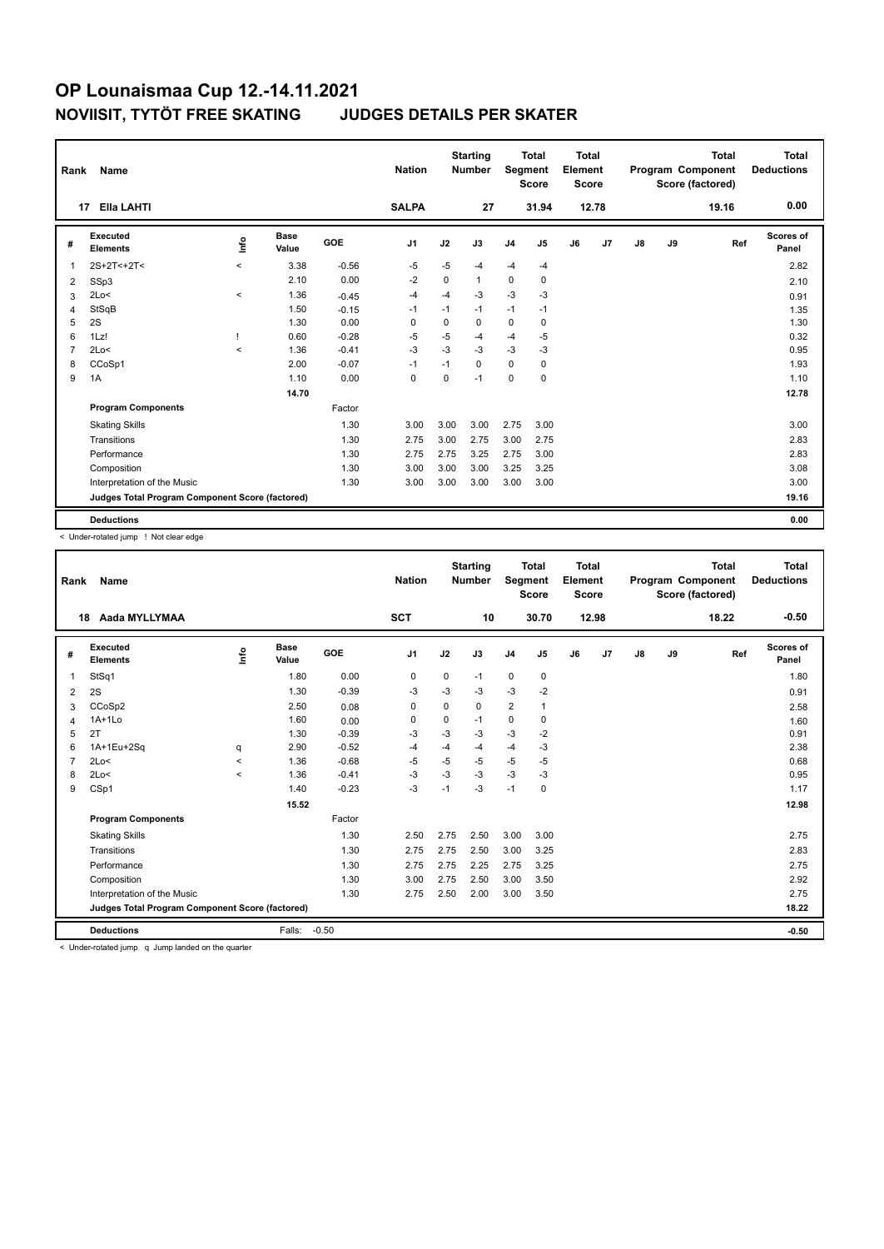|                | Name<br>Rank<br>Ella LAHTI<br>17                |         |               |         |                |             | <b>Starting</b><br><b>Number</b> | Segment        | <b>Total</b><br><b>Score</b> | <b>Total</b><br>Element<br><b>Score</b> |       |               |    | <b>Total</b><br>Program Component<br>Score (factored) | <b>Total</b><br><b>Deductions</b> |
|----------------|-------------------------------------------------|---------|---------------|---------|----------------|-------------|----------------------------------|----------------|------------------------------|-----------------------------------------|-------|---------------|----|-------------------------------------------------------|-----------------------------------|
|                |                                                 |         |               |         | <b>SALPA</b>   |             | 27                               |                | 31.94                        |                                         | 12.78 |               |    | 19.16                                                 | 0.00                              |
| #              | Executed<br><b>Elements</b>                     | Info    | Base<br>Value | GOE     | J <sub>1</sub> | J2          | J3                               | J <sub>4</sub> | J <sub>5</sub>               | J6                                      | J7    | $\mathsf{J}8$ | J9 | Ref                                                   | Scores of<br>Panel                |
| $\overline{1}$ | 2S+2T<+2T<                                      | $\prec$ | 3.38          | $-0.56$ | -5             | $-5$        | $-4$                             | $-4$           | $-4$                         |                                         |       |               |    |                                                       | 2.82                              |
| 2              | SSp3                                            |         | 2.10          | 0.00    | $-2$           | 0           | $\mathbf{1}$                     | $\mathbf 0$    | 0                            |                                         |       |               |    |                                                       | 2.10                              |
| 3              | 2Lo<                                            | $\prec$ | 1.36          | $-0.45$ | -4             | $-4$        | $-3$                             | $-3$           | -3                           |                                         |       |               |    |                                                       | 0.91                              |
| $\overline{4}$ | StSqB                                           |         | 1.50          | $-0.15$ | -1             | $-1$        | $-1$                             | $-1$           | $-1$                         |                                         |       |               |    |                                                       | 1.35                              |
| 5              | 2S                                              |         | 1.30          | 0.00    | 0              | $\mathbf 0$ | 0                                | $\mathbf 0$    | 0                            |                                         |       |               |    |                                                       | 1.30                              |
| 6              | 1Lz!                                            |         | 0.60          | $-0.28$ | $-5$           | $-5$        | $-4$                             | $-4$           | $-5$                         |                                         |       |               |    |                                                       | 0.32                              |
| $\overline{7}$ | 2Lo<                                            | $\prec$ | 1.36          | $-0.41$ | $-3$           | $-3$        | $-3$                             | $-3$           | $-3$                         |                                         |       |               |    |                                                       | 0.95                              |
| 8              | CCoSp1                                          |         | 2.00          | $-0.07$ | $-1$           | $-1$        | $\Omega$                         | $\mathbf 0$    | 0                            |                                         |       |               |    |                                                       | 1.93                              |
| 9              | 1A                                              |         | 1.10          | 0.00    | 0              | $\Omega$    | $-1$                             | 0              | 0                            |                                         |       |               |    |                                                       | 1.10                              |
|                |                                                 |         | 14.70         |         |                |             |                                  |                |                              |                                         |       |               |    |                                                       | 12.78                             |
|                | <b>Program Components</b>                       |         |               | Factor  |                |             |                                  |                |                              |                                         |       |               |    |                                                       |                                   |
|                | <b>Skating Skills</b>                           |         |               | 1.30    | 3.00           | 3.00        | 3.00                             | 2.75           | 3.00                         |                                         |       |               |    |                                                       | 3.00                              |
|                | Transitions                                     |         |               | 1.30    | 2.75           | 3.00        | 2.75                             | 3.00           | 2.75                         |                                         |       |               |    |                                                       | 2.83                              |
|                | Performance                                     |         |               | 1.30    | 2.75           | 2.75        | 3.25                             | 2.75           | 3.00                         |                                         |       |               |    |                                                       | 2.83                              |
|                | Composition                                     |         |               | 1.30    | 3.00           | 3.00        | 3.00                             | 3.25           | 3.25                         |                                         |       |               |    |                                                       | 3.08                              |
|                | Interpretation of the Music                     |         |               | 1.30    | 3.00           | 3.00        | 3.00                             | 3.00           | 3.00                         |                                         |       |               |    |                                                       | 3.00                              |
|                | Judges Total Program Component Score (factored) |         |               |         |                |             |                                  |                |                              |                                         |       |               |    |                                                       | 19.16                             |
|                | <b>Deductions</b>                               |         |               |         |                |             |                                  |                |                              |                                         |       |               |    |                                                       | 0.00                              |

< Under-rotated jump ! Not clear edge

| Rank           | Name                                            |         |                      |         | <b>Nation</b>  |             | <b>Starting</b><br><b>Number</b> | Segment        | <b>Total</b><br><b>Score</b> | <b>Total</b><br>Element<br><b>Score</b> |                |               |    | <b>Total</b><br>Program Component<br>Score (factored) | Total<br><b>Deductions</b> |
|----------------|-------------------------------------------------|---------|----------------------|---------|----------------|-------------|----------------------------------|----------------|------------------------------|-----------------------------------------|----------------|---------------|----|-------------------------------------------------------|----------------------------|
|                | Aada MYLLYMAA<br>18                             |         |                      |         | <b>SCT</b>     |             | 10                               |                | 30.70                        |                                         | 12.98          |               |    | 18.22                                                 | $-0.50$                    |
| #              | Executed<br><b>Elements</b>                     | ١nf٥    | <b>Base</b><br>Value | GOE     | J <sub>1</sub> | J2          | J3                               | J <sub>4</sub> | J <sub>5</sub>               | J6                                      | J <sub>7</sub> | $\mathsf{J}8$ | J9 | Ref                                                   | Scores of<br>Panel         |
| 1              | StSq1                                           |         | 1.80                 | 0.00    | 0              | $\mathbf 0$ | $-1$                             | $\mathbf 0$    | $\mathbf 0$                  |                                         |                |               |    |                                                       | 1.80                       |
| $\overline{2}$ | 2S                                              |         | 1.30                 | $-0.39$ | -3             | $-3$        | $-3$                             | $-3$           | $-2$                         |                                         |                |               |    |                                                       | 0.91                       |
| 3              | CCoSp2                                          |         | 2.50                 | 0.08    | 0              | $\mathbf 0$ | 0                                | $\overline{2}$ | $\mathbf{1}$                 |                                         |                |               |    |                                                       | 2.58                       |
| 4              | $1A+1Lo$                                        |         | 1.60                 | 0.00    | 0              | $\mathbf 0$ | $-1$                             | $\mathbf 0$    | $\mathbf 0$                  |                                         |                |               |    |                                                       | 1.60                       |
| 5              | 2T                                              |         | 1.30                 | $-0.39$ | $-3$           | $-3$        | $-3$                             | $-3$           | $-2$                         |                                         |                |               |    |                                                       | 0.91                       |
| 6              | 1A+1Eu+2Sq                                      | q       | 2.90                 | $-0.52$ | $-4$           | $-4$        | $-4$                             | $-4$           | $-3$                         |                                         |                |               |    |                                                       | 2.38                       |
| $\overline{7}$ | 2Lo<                                            | $\prec$ | 1.36                 | $-0.68$ | $-5$           | $-5$        | $-5$                             | $-5$           | $-5$                         |                                         |                |               |    |                                                       | 0.68                       |
| 8              | 2Lo<                                            | $\prec$ | 1.36                 | $-0.41$ | $-3$           | $-3$        | $-3$                             | $-3$           | -3                           |                                         |                |               |    |                                                       | 0.95                       |
| 9              | CSp1                                            |         | 1.40                 | $-0.23$ | $-3$           | $-1$        | $-3$                             | $-1$           | $\Omega$                     |                                         |                |               |    |                                                       | 1.17                       |
|                |                                                 |         | 15.52                |         |                |             |                                  |                |                              |                                         |                |               |    |                                                       | 12.98                      |
|                | <b>Program Components</b>                       |         |                      | Factor  |                |             |                                  |                |                              |                                         |                |               |    |                                                       |                            |
|                | <b>Skating Skills</b>                           |         |                      | 1.30    | 2.50           | 2.75        | 2.50                             | 3.00           | 3.00                         |                                         |                |               |    |                                                       | 2.75                       |
|                | Transitions                                     |         |                      | 1.30    | 2.75           | 2.75        | 2.50                             | 3.00           | 3.25                         |                                         |                |               |    |                                                       | 2.83                       |
|                | Performance                                     |         |                      | 1.30    | 2.75           | 2.75        | 2.25                             | 2.75           | 3.25                         |                                         |                |               |    |                                                       | 2.75                       |
|                | Composition                                     |         |                      | 1.30    | 3.00           | 2.75        | 2.50                             | 3.00           | 3.50                         |                                         |                |               |    |                                                       | 2.92                       |
|                | Interpretation of the Music                     |         |                      | 1.30    | 2.75           | 2.50        | 2.00                             | 3.00           | 3.50                         |                                         |                |               |    |                                                       | 2.75                       |
|                | Judges Total Program Component Score (factored) |         |                      |         |                |             |                                  |                |                              |                                         |                |               |    |                                                       | 18.22                      |
|                | <b>Deductions</b>                               |         | Falls:               | $-0.50$ |                |             |                                  |                |                              |                                         |                |               |    |                                                       | $-0.50$                    |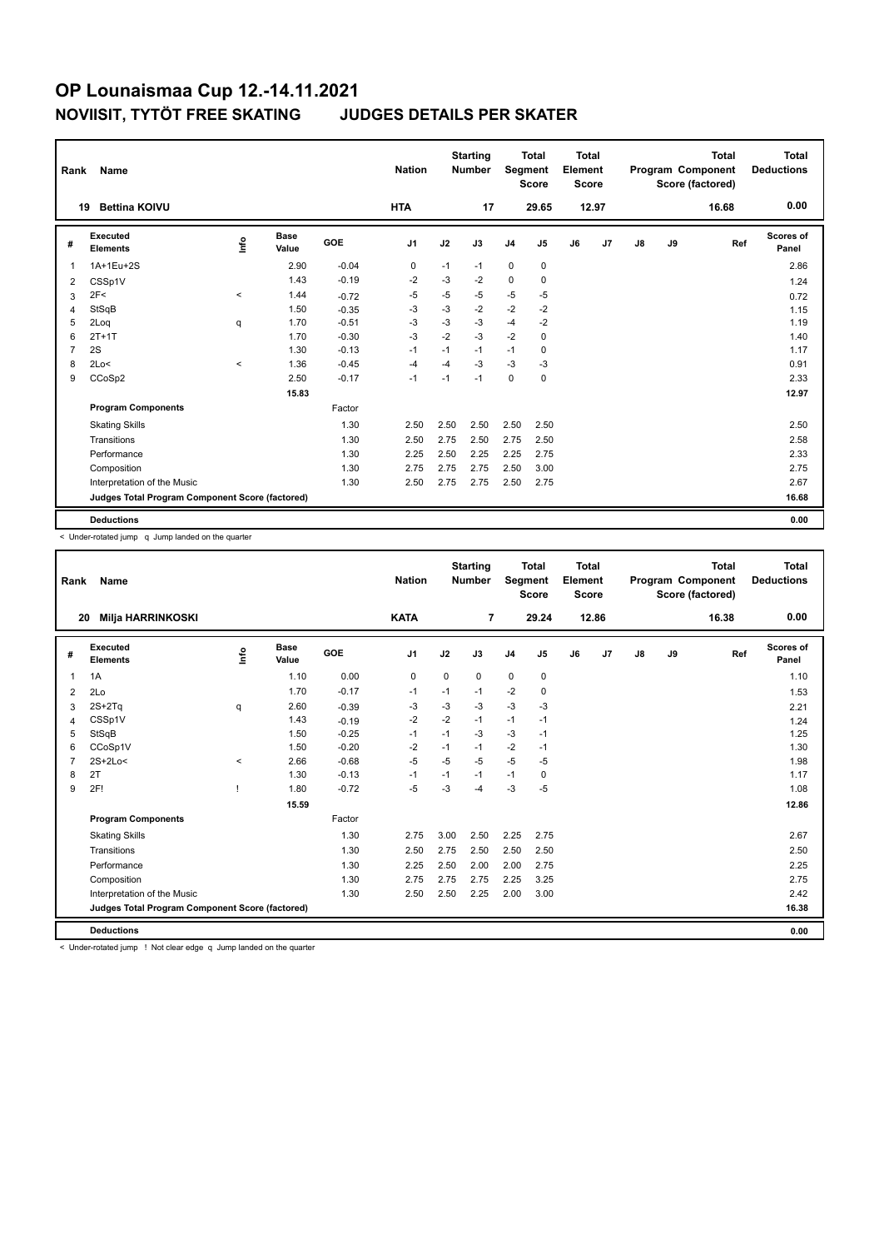|                | Name<br>Rank<br>19                              |         |                      |            |                |      | <b>Starting</b><br><b>Number</b> | Segment        | <b>Total</b><br><b>Score</b> | Total<br>Element<br><b>Score</b> |                |    |    | <b>Total</b><br>Program Component<br>Score (factored) | Total<br><b>Deductions</b> |
|----------------|-------------------------------------------------|---------|----------------------|------------|----------------|------|----------------------------------|----------------|------------------------------|----------------------------------|----------------|----|----|-------------------------------------------------------|----------------------------|
|                | <b>Bettina KOIVU</b>                            |         |                      |            | <b>HTA</b>     |      | 17                               |                | 29.65                        |                                  | 12.97          |    |    | 16.68                                                 | 0.00                       |
| #              | Executed<br><b>Elements</b>                     | ١nf٥    | <b>Base</b><br>Value | <b>GOE</b> | J <sub>1</sub> | J2   | J3                               | J <sub>4</sub> | J <sub>5</sub>               | J6                               | J <sub>7</sub> | J8 | J9 | Ref                                                   | Scores of<br>Panel         |
| $\overline{1}$ | 1A+1Eu+2S                                       |         | 2.90                 | $-0.04$    | 0              | $-1$ | $-1$                             | $\mathbf 0$    | 0                            |                                  |                |    |    |                                                       | 2.86                       |
| 2              | CSSp1V                                          |         | 1.43                 | $-0.19$    | $-2$           | -3   | $-2$                             | $\mathbf 0$    | 0                            |                                  |                |    |    |                                                       | 1.24                       |
| 3              | 2F<                                             | $\,<$   | 1.44                 | $-0.72$    | $-5$           | $-5$ | -5                               | $-5$           | $-5$                         |                                  |                |    |    |                                                       | 0.72                       |
| $\overline{4}$ | StSqB                                           |         | 1.50                 | $-0.35$    | $-3$           | $-3$ | $-2$                             | $-2$           | $-2$                         |                                  |                |    |    |                                                       | 1.15                       |
| 5              | 2Loq                                            | q       | 1.70                 | $-0.51$    | $-3$           | $-3$ | $-3$                             | $-4$           | $-2$                         |                                  |                |    |    |                                                       | 1.19                       |
| 6              | $2T+1T$                                         |         | 1.70                 | $-0.30$    | $-3$           | $-2$ | $-3$                             | $-2$           | 0                            |                                  |                |    |    |                                                       | 1.40                       |
| $\overline{7}$ | 2S                                              |         | 1.30                 | $-0.13$    | $-1$           | $-1$ | $-1$                             | $-1$           | 0                            |                                  |                |    |    |                                                       | 1.17                       |
| 8              | 2Lo<                                            | $\prec$ | 1.36                 | $-0.45$    | $-4$           | $-4$ | $-3$                             | $-3$           | $-3$                         |                                  |                |    |    |                                                       | 0.91                       |
| 9              | CCoSp2                                          |         | 2.50                 | $-0.17$    | $-1$           | $-1$ | $-1$                             | $\mathbf 0$    | $\mathbf 0$                  |                                  |                |    |    |                                                       | 2.33                       |
|                |                                                 |         | 15.83                |            |                |      |                                  |                |                              |                                  |                |    |    |                                                       | 12.97                      |
|                | <b>Program Components</b>                       |         |                      | Factor     |                |      |                                  |                |                              |                                  |                |    |    |                                                       |                            |
|                | <b>Skating Skills</b>                           |         |                      | 1.30       | 2.50           | 2.50 | 2.50                             | 2.50           | 2.50                         |                                  |                |    |    |                                                       | 2.50                       |
|                | Transitions                                     |         |                      | 1.30       | 2.50           | 2.75 | 2.50                             | 2.75           | 2.50                         |                                  |                |    |    |                                                       | 2.58                       |
|                | Performance                                     |         |                      | 1.30       | 2.25           | 2.50 | 2.25                             | 2.25           | 2.75                         |                                  |                |    |    |                                                       | 2.33                       |
|                | Composition                                     |         |                      | 1.30       | 2.75           | 2.75 | 2.75                             | 2.50           | 3.00                         |                                  |                |    |    |                                                       | 2.75                       |
|                | Interpretation of the Music                     |         |                      | 1.30       | 2.50           | 2.75 | 2.75                             | 2.50           | 2.75                         |                                  |                |    |    |                                                       | 2.67                       |
|                | Judges Total Program Component Score (factored) |         |                      |            |                |      |                                  |                |                              |                                  |                |    |    |                                                       | 16.68                      |
|                | <b>Deductions</b>                               |         |                      |            |                |      |                                  |                |                              |                                  |                |    |    |                                                       | 0.00                       |

< Under-rotated jump q Jump landed on the quarter

| Rank           | Name                                            |       |                      |         | <b>Nation</b>  |             | <b>Starting</b><br><b>Number</b> | <b>Segment</b> | <b>Total</b><br><b>Score</b> | Total<br>Element<br><b>Score</b> |                |    |    | <b>Total</b><br>Program Component<br>Score (factored) | <b>Total</b><br><b>Deductions</b> |
|----------------|-------------------------------------------------|-------|----------------------|---------|----------------|-------------|----------------------------------|----------------|------------------------------|----------------------------------|----------------|----|----|-------------------------------------------------------|-----------------------------------|
| 20             | <b>Milja HARRINKOSKI</b>                        |       |                      |         | <b>KATA</b>    |             | $\overline{7}$                   |                | 29.24                        |                                  | 12.86          |    |    | 16.38                                                 | 0.00                              |
| #              | <b>Executed</b><br><b>Elements</b>              | ۴ô    | <b>Base</b><br>Value | GOE     | J <sub>1</sub> | J2          | J3                               | J <sub>4</sub> | J <sub>5</sub>               | J6                               | J <sub>7</sub> | J8 | J9 | Ref                                                   | <b>Scores of</b><br>Panel         |
| 1              | 1A                                              |       | 1.10                 | 0.00    | $\mathbf 0$    | $\mathbf 0$ | $\mathbf 0$                      | $\mathbf 0$    | $\mathbf 0$                  |                                  |                |    |    |                                                       | 1.10                              |
| $\overline{2}$ | 2Lo                                             |       | 1.70                 | $-0.17$ | $-1$           | $-1$        | $-1$                             | $-2$           | 0                            |                                  |                |    |    |                                                       | 1.53                              |
| 3              | $2S+2Tq$                                        | q     | 2.60                 | $-0.39$ | $-3$           | $-3$        | $-3$                             | $-3$           | $-3$                         |                                  |                |    |    |                                                       | 2.21                              |
| 4              | CSSp1V                                          |       | 1.43                 | $-0.19$ | $-2$           | $-2$        | $-1$                             | $-1$           | $-1$                         |                                  |                |    |    |                                                       | 1.24                              |
| 5              | StSqB                                           |       | 1.50                 | $-0.25$ | $-1$           | $-1$        | $-3$                             | $-3$           | $-1$                         |                                  |                |    |    |                                                       | 1.25                              |
| 6              | CCoSp1V                                         |       | 1.50                 | $-0.20$ | $-2$           | $-1$        | $-1$                             | $-2$           | $-1$                         |                                  |                |    |    |                                                       | 1.30                              |
| $\overline{7}$ | $2S+2Lo<$                                       | $\,<$ | 2.66                 | $-0.68$ | $-5$           | $-5$        | $-5$                             | $-5$           | $-5$                         |                                  |                |    |    |                                                       | 1.98                              |
| 8              | 2T                                              |       | 1.30                 | $-0.13$ | $-1$           | $-1$        | $-1$                             | $-1$           | 0                            |                                  |                |    |    |                                                       | 1.17                              |
| 9              | 2F!                                             |       | 1.80                 | $-0.72$ | $-5$           | $-3$        | $-4$                             | $-3$           | $-5$                         |                                  |                |    |    |                                                       | 1.08                              |
|                |                                                 |       | 15.59                |         |                |             |                                  |                |                              |                                  |                |    |    |                                                       | 12.86                             |
|                | <b>Program Components</b>                       |       |                      | Factor  |                |             |                                  |                |                              |                                  |                |    |    |                                                       |                                   |
|                | <b>Skating Skills</b>                           |       |                      | 1.30    | 2.75           | 3.00        | 2.50                             | 2.25           | 2.75                         |                                  |                |    |    |                                                       | 2.67                              |
|                | Transitions                                     |       |                      | 1.30    | 2.50           | 2.75        | 2.50                             | 2.50           | 2.50                         |                                  |                |    |    |                                                       | 2.50                              |
|                | Performance                                     |       |                      | 1.30    | 2.25           | 2.50        | 2.00                             | 2.00           | 2.75                         |                                  |                |    |    |                                                       | 2.25                              |
|                | Composition                                     |       |                      | 1.30    | 2.75           | 2.75        | 2.75                             | 2.25           | 3.25                         |                                  |                |    |    |                                                       | 2.75                              |
|                | Interpretation of the Music                     |       |                      | 1.30    | 2.50           | 2.50        | 2.25                             | 2.00           | 3.00                         |                                  |                |    |    |                                                       | 2.42                              |
|                | Judges Total Program Component Score (factored) |       |                      |         |                |             |                                  |                |                              |                                  |                |    |    |                                                       | 16.38                             |
|                | <b>Deductions</b>                               |       |                      |         |                |             |                                  |                |                              |                                  |                |    |    |                                                       | 0.00                              |

< Under-rotated jump ! Not clear edge q Jump landed on the quarter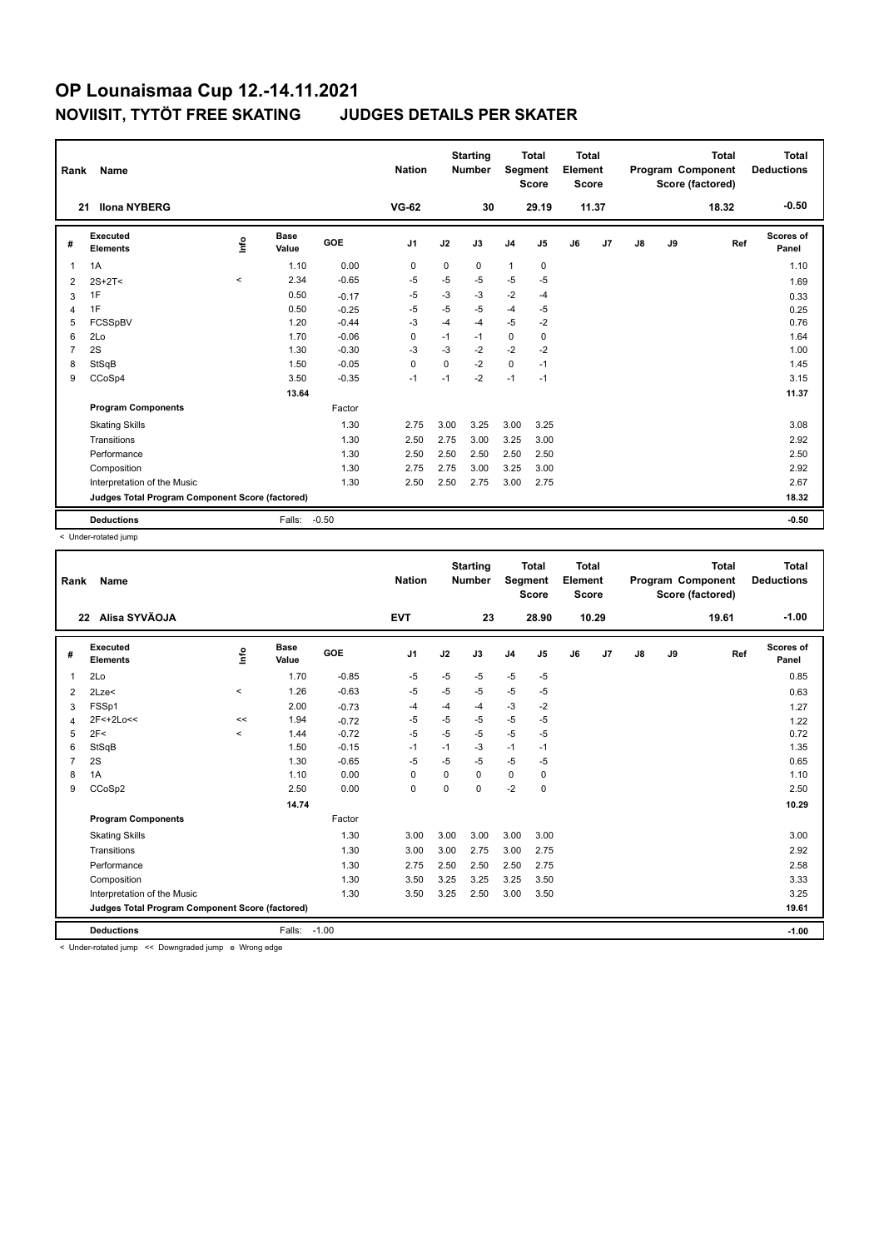| Rank           | Name                                            |         | <b>Nation</b>        |            | <b>Starting</b><br><b>Number</b> | Segment     | <b>Total</b><br><b>Score</b> | <b>Total</b><br>Element<br><b>Score</b> |             |    |       | <b>Total</b><br>Program Component<br>Score (factored) | <b>Total</b><br><b>Deductions</b> |       |                           |
|----------------|-------------------------------------------------|---------|----------------------|------------|----------------------------------|-------------|------------------------------|-----------------------------------------|-------------|----|-------|-------------------------------------------------------|-----------------------------------|-------|---------------------------|
| 21             | <b>Ilona NYBERG</b>                             |         |                      |            | <b>VG-62</b>                     |             | 30                           |                                         | 29.19       |    | 11.37 |                                                       |                                   | 18.32 | $-0.50$                   |
| #              | Executed<br><b>Elements</b>                     | lnfo    | <b>Base</b><br>Value | <b>GOE</b> | J <sub>1</sub>                   | J2          | J3                           | J <sub>4</sub>                          | J5          | J6 | J7    | $\mathsf{J}8$                                         | J9                                | Ref   | <b>Scores of</b><br>Panel |
| $\overline{1}$ | 1A                                              |         | 1.10                 | 0.00       | 0                                | $\mathbf 0$ | 0                            | $\mathbf{1}$                            | $\mathbf 0$ |    |       |                                                       |                                   |       | 1.10                      |
| 2              | $2S+2T<$                                        | $\,<\,$ | 2.34                 | $-0.65$    | $-5$                             | $-5$        | $-5$                         | $-5$                                    | $-5$        |    |       |                                                       |                                   |       | 1.69                      |
| 3              | 1F                                              |         | 0.50                 | $-0.17$    | -5                               | $-3$        | $-3$                         | $-2$                                    | $-4$        |    |       |                                                       |                                   |       | 0.33                      |
| $\overline{4}$ | 1F                                              |         | 0.50                 | $-0.25$    | $-5$                             | $-5$        | $-5$                         | $-4$                                    | $-5$        |    |       |                                                       |                                   |       | 0.25                      |
| 5              | FCSSpBV                                         |         | 1.20                 | $-0.44$    | -3                               | $-4$        | $-4$                         | $-5$                                    | -2          |    |       |                                                       |                                   |       | 0.76                      |
| 6              | 2Lo                                             |         | 1.70                 | $-0.06$    | 0                                | $-1$        | $-1$                         | $\mathbf 0$                             | 0           |    |       |                                                       |                                   |       | 1.64                      |
| $\overline{7}$ | 2S                                              |         | 1.30                 | $-0.30$    | -3                               | $-3$        | $-2$                         | $-2$                                    | $-2$        |    |       |                                                       |                                   |       | 1.00                      |
| 8              | StSqB                                           |         | 1.50                 | $-0.05$    | 0                                | 0           | $-2$                         | $\mathbf 0$                             | $-1$        |    |       |                                                       |                                   |       | 1.45                      |
| 9              | CCoSp4                                          |         | 3.50                 | $-0.35$    | $-1$                             | $-1$        | $-2$                         | $-1$                                    | $-1$        |    |       |                                                       |                                   |       | 3.15                      |
|                |                                                 |         | 13.64                |            |                                  |             |                              |                                         |             |    |       |                                                       |                                   |       | 11.37                     |
|                | <b>Program Components</b>                       |         |                      | Factor     |                                  |             |                              |                                         |             |    |       |                                                       |                                   |       |                           |
|                | <b>Skating Skills</b>                           |         |                      | 1.30       | 2.75                             | 3.00        | 3.25                         | 3.00                                    | 3.25        |    |       |                                                       |                                   |       | 3.08                      |
|                | Transitions                                     |         |                      | 1.30       | 2.50                             | 2.75        | 3.00                         | 3.25                                    | 3.00        |    |       |                                                       |                                   |       | 2.92                      |
|                | Performance                                     |         |                      | 1.30       | 2.50                             | 2.50        | 2.50                         | 2.50                                    | 2.50        |    |       |                                                       |                                   |       | 2.50                      |
|                | Composition                                     |         |                      | 1.30       | 2.75                             | 2.75        | 3.00                         | 3.25                                    | 3.00        |    |       |                                                       |                                   |       | 2.92                      |
|                | Interpretation of the Music                     |         |                      | 1.30       | 2.50                             | 2.50        | 2.75                         | 3.00                                    | 2.75        |    |       |                                                       |                                   |       | 2.67                      |
|                | Judges Total Program Component Score (factored) |         |                      |            |                                  |             |                              |                                         |             |    |       |                                                       |                                   |       | 18.32                     |
|                | <b>Deductions</b>                               |         | Falls:               | $-0.50$    |                                  |             |                              |                                         |             |    |       |                                                       |                                   |       | $-0.50$                   |

< Under-rotated jump

| Rank | Name                                                                        |          |                      |         | <b>Nation</b>  |             | <b>Starting</b><br><b>Number</b> | Segment        | <b>Total</b><br><b>Score</b> | <b>Total</b><br>Element<br><b>Score</b> |                |               |    | <b>Total</b><br>Program Component<br>Score (factored) | <b>Total</b><br><b>Deductions</b> |
|------|-----------------------------------------------------------------------------|----------|----------------------|---------|----------------|-------------|----------------------------------|----------------|------------------------------|-----------------------------------------|----------------|---------------|----|-------------------------------------------------------|-----------------------------------|
|      | Alisa SYVÄOJA<br>22                                                         |          |                      |         | <b>EVT</b>     |             | 23                               |                | 28.90                        |                                         | 10.29          |               |    | 19.61                                                 | $-1.00$                           |
| #    | <b>Executed</b><br><b>Elements</b>                                          | ۴ů       | <b>Base</b><br>Value | GOE     | J <sub>1</sub> | J2          | J3                               | J <sub>4</sub> | J <sub>5</sub>               | J6                                      | J <sub>7</sub> | $\mathsf{J}8$ | J9 | Ref                                                   | Scores of<br>Panel                |
| -1   | 2Lo                                                                         |          | 1.70                 | $-0.85$ | $-5$           | $-5$        | $-5$                             | $-5$           | $-5$                         |                                         |                |               |    |                                                       | 0.85                              |
| 2    | 2Lze<                                                                       | $\hat{}$ | 1.26                 | $-0.63$ | $-5$           | $-5$        | $-5$                             | $-5$           | $-5$                         |                                         |                |               |    |                                                       | 0.63                              |
| 3    | FSSp1                                                                       |          | 2.00                 | $-0.73$ | $-4$           | -4          | -4                               | $-3$           | $-2$                         |                                         |                |               |    |                                                       | 1.27                              |
| Δ    | 2F<+2Lo<<                                                                   | <<       | 1.94                 | $-0.72$ | $-5$           | $-5$        | $-5$                             | $-5$           | -5                           |                                         |                |               |    |                                                       | 1.22                              |
| 5    | 2F<                                                                         | $\,<\,$  | 1.44                 | $-0.72$ | $-5$           | $-5$        | $-5$                             | $-5$           | $-5$                         |                                         |                |               |    |                                                       | 0.72                              |
| 6    | StSqB                                                                       |          | 1.50                 | $-0.15$ | $-1$           | $-1$        | -3                               | $-1$           | $-1$                         |                                         |                |               |    |                                                       | 1.35                              |
| 7    | 2S                                                                          |          | 1.30                 | $-0.65$ | $-5$           | $-5$        | $-5$                             | $-5$           | $-5$                         |                                         |                |               |    |                                                       | 0.65                              |
| 8    | 1A                                                                          |          | 1.10                 | 0.00    | $\Omega$       | $\Omega$    | $\Omega$                         | 0              | 0                            |                                         |                |               |    |                                                       | 1.10                              |
| 9    | CCoSp2                                                                      |          | 2.50                 | 0.00    | 0              | $\mathbf 0$ | $\Omega$                         | $-2$           | $\mathbf 0$                  |                                         |                |               |    |                                                       | 2.50                              |
|      |                                                                             |          | 14.74                |         |                |             |                                  |                |                              |                                         |                |               |    |                                                       | 10.29                             |
|      | <b>Program Components</b>                                                   |          |                      | Factor  |                |             |                                  |                |                              |                                         |                |               |    |                                                       |                                   |
|      | <b>Skating Skills</b>                                                       |          |                      | 1.30    | 3.00           | 3.00        | 3.00                             | 3.00           | 3.00                         |                                         |                |               |    |                                                       | 3.00                              |
|      | Transitions                                                                 |          |                      | 1.30    | 3.00           | 3.00        | 2.75                             | 3.00           | 2.75                         |                                         |                |               |    |                                                       | 2.92                              |
|      | Performance                                                                 |          |                      | 1.30    | 2.75           | 2.50        | 2.50                             | 2.50           | 2.75                         |                                         |                |               |    |                                                       | 2.58                              |
|      | Composition                                                                 |          |                      | 1.30    | 3.50           | 3.25        | 3.25                             | 3.25           | 3.50                         |                                         |                |               |    |                                                       | 3.33                              |
|      | Interpretation of the Music                                                 |          |                      | 1.30    | 3.50           | 3.25        | 2.50                             | 3.00           | 3.50                         |                                         |                |               |    |                                                       | 3.25                              |
|      | Judges Total Program Component Score (factored)                             |          |                      |         |                |             |                                  |                |                              |                                         |                |               |    |                                                       | 19.61                             |
|      |                                                                             |          |                      |         |                |             |                                  |                |                              |                                         |                |               |    |                                                       |                                   |
|      | <b>Deductions</b><br>Lindor rotated jump. 22. Downgraded jump. o Wrong adde |          | Falls:               | $-1.00$ |                |             |                                  |                |                              |                                         |                |               |    |                                                       | $-1.00$                           |

< Under-rotated jump << Downgraded jump e Wrong edge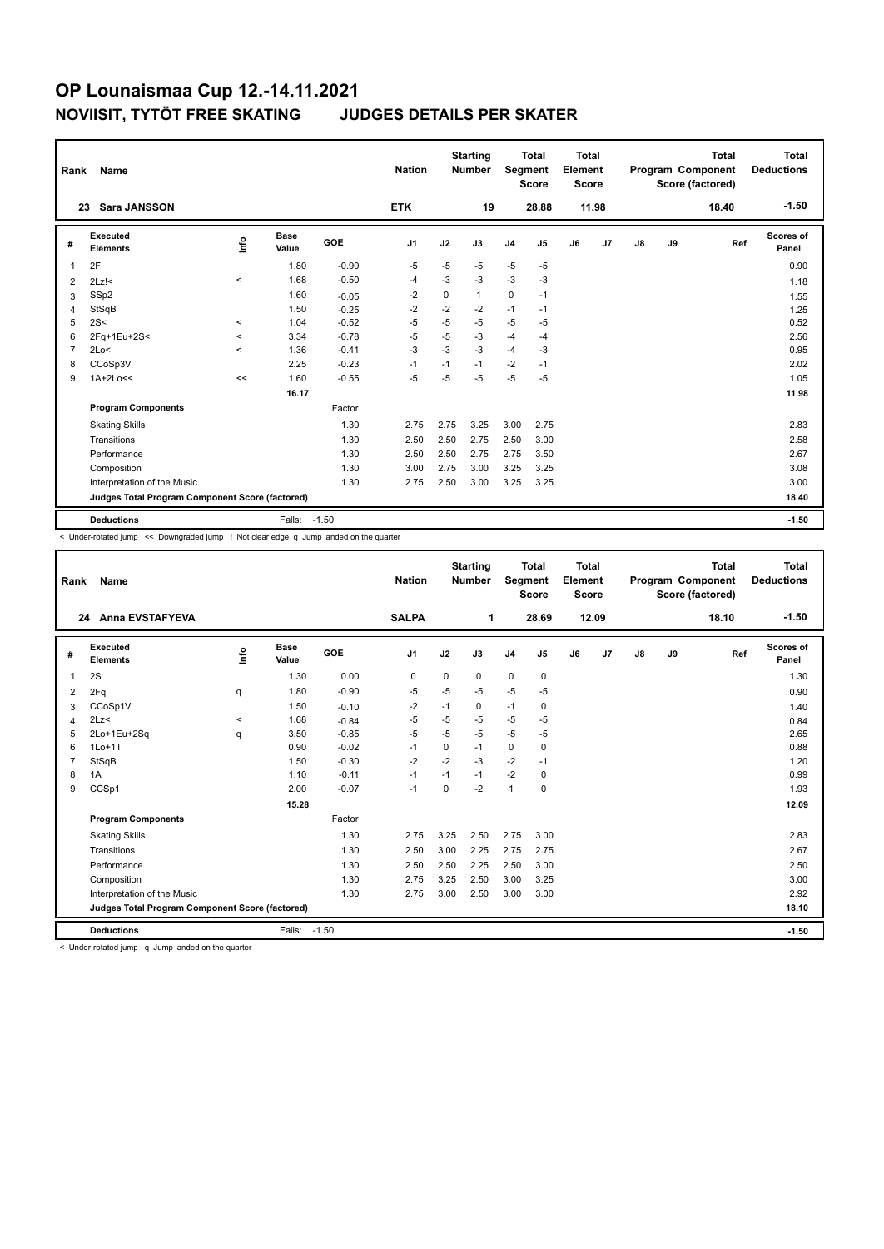| Rank           | Name<br><b>Sara JANSSON</b><br>23               |         |                      |            |                |             | <b>Starting</b><br><b>Number</b> | Segment        | <b>Total</b><br><b>Score</b> | Total<br>Element<br><b>Score</b> |                |    |    | <b>Total</b><br>Program Component<br>Score (factored) | Total<br><b>Deductions</b> |
|----------------|-------------------------------------------------|---------|----------------------|------------|----------------|-------------|----------------------------------|----------------|------------------------------|----------------------------------|----------------|----|----|-------------------------------------------------------|----------------------------|
|                |                                                 |         |                      |            | <b>ETK</b>     |             | 19                               |                | 28.88                        |                                  | 11.98          |    |    | 18.40                                                 | $-1.50$                    |
| #              | Executed<br><b>Elements</b>                     | lnfo    | <b>Base</b><br>Value | <b>GOE</b> | J <sub>1</sub> | J2          | J3                               | J <sub>4</sub> | J5                           | J6                               | J <sub>7</sub> | J8 | J9 | Ref                                                   | Scores of<br>Panel         |
| 1              | 2F                                              |         | 1.80                 | $-0.90$    | $-5$           | $-5$        | $-5$                             | $-5$           | $-5$                         |                                  |                |    |    |                                                       | 0.90                       |
| 2              | $2Lz$ !<                                        | $\,<$   | 1.68                 | $-0.50$    | -4             | $-3$        | $-3$                             | $-3$           | $-3$                         |                                  |                |    |    |                                                       | 1.18                       |
| 3              | SSp2                                            |         | 1.60                 | $-0.05$    | $-2$           | $\mathbf 0$ | $\mathbf{1}$                     | $\mathbf 0$    | $-1$                         |                                  |                |    |    |                                                       | 1.55                       |
| 4              | StSqB                                           |         | 1.50                 | $-0.25$    | $-2$           | $-2$        | $-2$                             | $-1$           | $-1$                         |                                  |                |    |    |                                                       | 1.25                       |
| 5              | 2S<                                             | $\prec$ | 1.04                 | $-0.52$    | $-5$           | $-5$        | $-5$                             | $-5$           | $-5$                         |                                  |                |    |    |                                                       | 0.52                       |
| 6              | 2Fq+1Eu+2S<                                     | $\,<$   | 3.34                 | $-0.78$    | $-5$           | $-5$        | $-3$                             | $-4$           | $-4$                         |                                  |                |    |    |                                                       | 2.56                       |
| $\overline{7}$ | 2Lo<                                            | $\prec$ | 1.36                 | $-0.41$    | $-3$           | $-3$        | $-3$                             | $-4$           | -3                           |                                  |                |    |    |                                                       | 0.95                       |
| 8              | CCoSp3V                                         |         | 2.25                 | $-0.23$    | -1             | $-1$        | $-1$                             | $-2$           | $-1$                         |                                  |                |    |    |                                                       | 2.02                       |
| 9              | $1A+2Lo<<$                                      | <<      | 1.60                 | $-0.55$    | $-5$           | $-5$        | $-5$                             | $-5$           | $-5$                         |                                  |                |    |    |                                                       | 1.05                       |
|                |                                                 |         | 16.17                |            |                |             |                                  |                |                              |                                  |                |    |    |                                                       | 11.98                      |
|                | <b>Program Components</b>                       |         |                      | Factor     |                |             |                                  |                |                              |                                  |                |    |    |                                                       |                            |
|                | <b>Skating Skills</b>                           |         |                      | 1.30       | 2.75           | 2.75        | 3.25                             | 3.00           | 2.75                         |                                  |                |    |    |                                                       | 2.83                       |
|                | Transitions                                     |         |                      | 1.30       | 2.50           | 2.50        | 2.75                             | 2.50           | 3.00                         |                                  |                |    |    |                                                       | 2.58                       |
|                | Performance                                     |         |                      | 1.30       | 2.50           | 2.50        | 2.75                             | 2.75           | 3.50                         |                                  |                |    |    |                                                       | 2.67                       |
|                | Composition                                     |         |                      | 1.30       | 3.00           | 2.75        | 3.00                             | 3.25           | 3.25                         |                                  |                |    |    |                                                       | 3.08                       |
|                | Interpretation of the Music                     |         |                      | 1.30       | 2.75           | 2.50        | 3.00                             | 3.25           | 3.25                         |                                  |                |    |    |                                                       | 3.00                       |
|                | Judges Total Program Component Score (factored) |         |                      |            |                |             |                                  |                |                              |                                  |                |    |    |                                                       | 18.40                      |
|                | <b>Deductions</b>                               |         | Falls: -1.50         |            |                |             |                                  |                |                              |                                  |                |    |    |                                                       | $-1.50$                    |

< Under-rotated jump << Downgraded jump ! Not clear edge q Jump landed on the quarter

| Rank           | Name                                            |         |                      |         | <b>Nation</b>  |      | <b>Starting</b><br><b>Number</b> | Segment        | <b>Total</b><br><b>Score</b> | <b>Total</b><br>Element<br><b>Score</b> |       |               |    | <b>Total</b><br>Program Component<br>Score (factored) | Total<br><b>Deductions</b> |
|----------------|-------------------------------------------------|---------|----------------------|---------|----------------|------|----------------------------------|----------------|------------------------------|-----------------------------------------|-------|---------------|----|-------------------------------------------------------|----------------------------|
|                | <b>Anna EVSTAFYEVA</b><br>24                    |         |                      |         | <b>SALPA</b>   |      | 1                                |                | 28.69                        |                                         | 12.09 |               |    | 18.10                                                 | $-1.50$                    |
| #              | Executed<br><b>Elements</b>                     | lnfo    | <b>Base</b><br>Value | GOE     | J <sub>1</sub> | J2   | J3                               | J <sub>4</sub> | J5                           | J6                                      | J7    | $\mathsf{J}8$ | J9 | Ref                                                   | <b>Scores of</b><br>Panel  |
| 1              | 2S                                              |         | 1.30                 | 0.00    | $\mathbf 0$    | 0    | 0                                | $\mathbf 0$    | $\mathbf 0$                  |                                         |       |               |    |                                                       | 1.30                       |
| 2              | 2Fq                                             | q       | 1.80                 | $-0.90$ | $-5$           | $-5$ | $-5$                             | $-5$           | $-5$                         |                                         |       |               |    |                                                       | 0.90                       |
| 3              | CCoSp1V                                         |         | 1.50                 | $-0.10$ | -2             | $-1$ | 0                                | $-1$           | 0                            |                                         |       |               |    |                                                       | 1.40                       |
| 4              | 2Lz<                                            | $\prec$ | 1.68                 | $-0.84$ | $-5$           | $-5$ | $-5$                             | $-5$           | $-5$                         |                                         |       |               |    |                                                       | 0.84                       |
| 5              | 2Lo+1Eu+2Sq                                     | q       | 3.50                 | $-0.85$ | $-5$           | $-5$ | $-5$                             | $-5$           | $-5$                         |                                         |       |               |    |                                                       | 2.65                       |
| 6              | $1Lo+1T$                                        |         | 0.90                 | $-0.02$ | -1             | 0    | $-1$                             | $\mathbf 0$    | 0                            |                                         |       |               |    |                                                       | 0.88                       |
| $\overline{7}$ | StSqB                                           |         | 1.50                 | $-0.30$ | $-2$           | $-2$ | $-3$                             | $-2$           | $-1$                         |                                         |       |               |    |                                                       | 1.20                       |
| 8              | 1A                                              |         | 1.10                 | $-0.11$ | $-1$           | $-1$ | $-1$                             | $-2$           | 0                            |                                         |       |               |    |                                                       | 0.99                       |
| 9              | CCSp1                                           |         | 2.00                 | $-0.07$ | $-1$           | 0    | $-2$                             | $\overline{1}$ | 0                            |                                         |       |               |    |                                                       | 1.93                       |
|                |                                                 |         | 15.28                |         |                |      |                                  |                |                              |                                         |       |               |    |                                                       | 12.09                      |
|                | <b>Program Components</b>                       |         |                      | Factor  |                |      |                                  |                |                              |                                         |       |               |    |                                                       |                            |
|                | <b>Skating Skills</b>                           |         |                      | 1.30    | 2.75           | 3.25 | 2.50                             | 2.75           | 3.00                         |                                         |       |               |    |                                                       | 2.83                       |
|                | Transitions                                     |         |                      | 1.30    | 2.50           | 3.00 | 2.25                             | 2.75           | 2.75                         |                                         |       |               |    |                                                       | 2.67                       |
|                | Performance                                     |         |                      | 1.30    | 2.50           | 2.50 | 2.25                             | 2.50           | 3.00                         |                                         |       |               |    |                                                       | 2.50                       |
|                | Composition                                     |         |                      | 1.30    | 2.75           | 3.25 | 2.50                             | 3.00           | 3.25                         |                                         |       |               |    |                                                       | 3.00                       |
|                | Interpretation of the Music                     |         |                      | 1.30    | 2.75           | 3.00 | 2.50                             | 3.00           | 3.00                         |                                         |       |               |    |                                                       | 2.92                       |
|                | Judges Total Program Component Score (factored) |         |                      |         |                |      |                                  |                |                              |                                         |       |               |    |                                                       | 18.10                      |
|                | <b>Deductions</b>                               |         | Falls:               | $-1.50$ |                |      |                                  |                |                              |                                         |       |               |    |                                                       | $-1.50$                    |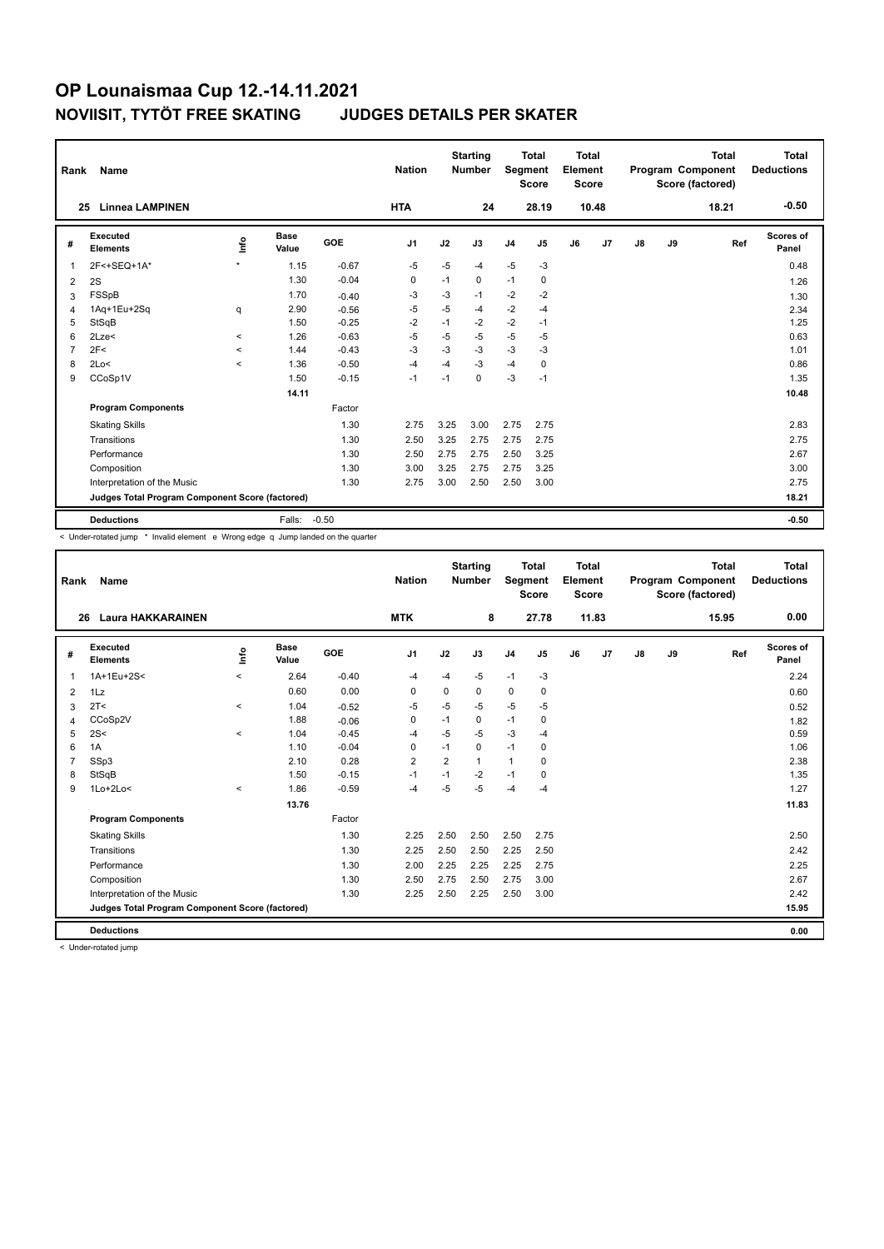| Rank | Name<br><b>Linnea LAMPINEN</b><br>25            |                          |                      |         |                |      | <b>Starting</b><br><b>Number</b> | <b>Segment</b> | <b>Total</b><br><b>Score</b> | Total<br>Element<br><b>Score</b> |       |               |    | <b>Total</b><br>Program Component<br>Score (factored) | Total<br><b>Deductions</b> |
|------|-------------------------------------------------|--------------------------|----------------------|---------|----------------|------|----------------------------------|----------------|------------------------------|----------------------------------|-------|---------------|----|-------------------------------------------------------|----------------------------|
|      |                                                 |                          |                      |         | <b>HTA</b>     |      | 24                               |                | 28.19                        |                                  | 10.48 |               |    | 18.21                                                 | $-0.50$                    |
| #    | Executed<br><b>Elements</b>                     | lnfo                     | <b>Base</b><br>Value | GOE     | J <sub>1</sub> | J2   | J3                               | J <sub>4</sub> | J5                           | J6                               | J7    | $\mathsf{J}8$ | J9 | Ref                                                   | Scores of<br>Panel         |
| 1    | 2F<+SEQ+1A*                                     | $\star$                  | 1.15                 | $-0.67$ | $-5$           | $-5$ | -4                               | $-5$           | $-3$                         |                                  |       |               |    |                                                       | 0.48                       |
| 2    | 2S                                              |                          | 1.30                 | $-0.04$ | 0              | $-1$ | 0                                | $-1$           | $\mathbf 0$                  |                                  |       |               |    |                                                       | 1.26                       |
| 3    | FSSpB                                           |                          | 1.70                 | $-0.40$ | $-3$           | $-3$ | $-1$                             | $-2$           | $-2$                         |                                  |       |               |    |                                                       | 1.30                       |
| 4    | 1Aq+1Eu+2Sq                                     | q                        | 2.90                 | $-0.56$ | $-5$           | $-5$ | -4                               | $-2$           | $-4$                         |                                  |       |               |    |                                                       | 2.34                       |
| 5    | StSqB                                           |                          | 1.50                 | $-0.25$ | $-2$           | $-1$ | $-2$                             | $-2$           | $-1$                         |                                  |       |               |    |                                                       | 1.25                       |
| 6    | 2Lze<                                           | $\overline{\phantom{0}}$ | 1.26                 | $-0.63$ | $-5$           | $-5$ | $-5$                             | $-5$           | $-5$                         |                                  |       |               |    |                                                       | 0.63                       |
| 7    | 2F<                                             | $\prec$                  | 1.44                 | $-0.43$ | $-3$           | $-3$ | $-3$                             | $-3$           | $-3$                         |                                  |       |               |    |                                                       | 1.01                       |
| 8    | 2Lo<                                            | $\overline{\phantom{0}}$ | 1.36                 | $-0.50$ | $-4$           | $-4$ | $-3$                             | $-4$           | 0                            |                                  |       |               |    |                                                       | 0.86                       |
| 9    | CCoSp1V                                         |                          | 1.50                 | $-0.15$ | $-1$           | $-1$ | $\mathbf 0$                      | $-3$           | $-1$                         |                                  |       |               |    |                                                       | 1.35                       |
|      |                                                 |                          | 14.11                |         |                |      |                                  |                |                              |                                  |       |               |    |                                                       | 10.48                      |
|      | <b>Program Components</b>                       |                          |                      | Factor  |                |      |                                  |                |                              |                                  |       |               |    |                                                       |                            |
|      | <b>Skating Skills</b>                           |                          |                      | 1.30    | 2.75           | 3.25 | 3.00                             | 2.75           | 2.75                         |                                  |       |               |    |                                                       | 2.83                       |
|      | Transitions                                     |                          |                      | 1.30    | 2.50           | 3.25 | 2.75                             | 2.75           | 2.75                         |                                  |       |               |    |                                                       | 2.75                       |
|      | Performance                                     |                          |                      | 1.30    | 2.50           | 2.75 | 2.75                             | 2.50           | 3.25                         |                                  |       |               |    |                                                       | 2.67                       |
|      | Composition                                     |                          |                      | 1.30    | 3.00           | 3.25 | 2.75                             | 2.75           | 3.25                         |                                  |       |               |    |                                                       | 3.00                       |
|      | Interpretation of the Music                     |                          |                      | 1.30    | 2.75           | 3.00 | 2.50                             | 2.50           | 3.00                         |                                  |       |               |    |                                                       | 2.75                       |
|      | Judges Total Program Component Score (factored) |                          |                      |         |                |      |                                  |                |                              |                                  |       |               |    |                                                       | 18.21                      |
|      | <b>Deductions</b>                               |                          | Falls:               | $-0.50$ |                |      |                                  |                |                              |                                  |       |               |    |                                                       | $-0.50$                    |

< Under-rotated jump \* Invalid element e Wrong edge q Jump landed on the quarter

| Rank           | Name                                            |          |                      |            | <b>Nation</b>  |                | <b>Starting</b><br><b>Number</b> | Segment        | Total<br><b>Score</b> | Total<br>Element<br><b>Score</b> |       |    |    | <b>Total</b><br>Program Component<br>Score (factored) | <b>Total</b><br><b>Deductions</b> |
|----------------|-------------------------------------------------|----------|----------------------|------------|----------------|----------------|----------------------------------|----------------|-----------------------|----------------------------------|-------|----|----|-------------------------------------------------------|-----------------------------------|
| 26             | <b>Laura HAKKARAINEN</b>                        |          |                      |            | <b>MTK</b>     |                | 8                                |                | 27.78                 |                                  | 11.83 |    |    | 15.95                                                 | 0.00                              |
| #              | Executed<br><b>Elements</b>                     | Info     | <b>Base</b><br>Value | <b>GOE</b> | J <sub>1</sub> | J2             | J3                               | J <sub>4</sub> | J5                    | J6                               | J7    | J8 | J9 | Ref                                                   | <b>Scores of</b><br>Panel         |
| 1              | 1A+1Eu+2S<                                      | $\prec$  | 2.64                 | $-0.40$    | $-4$           | $-4$           | $-5$                             | $-1$           | $-3$                  |                                  |       |    |    |                                                       | 2.24                              |
| 2              | 1Lz                                             |          | 0.60                 | 0.00       | $\mathbf 0$    | $\mathbf 0$    | 0                                | $\mathbf 0$    | 0                     |                                  |       |    |    |                                                       | 0.60                              |
| 3              | 2T <                                            | $\prec$  | 1.04                 | $-0.52$    | $-5$           | $-5$           | $-5$                             | $-5$           | $-5$                  |                                  |       |    |    |                                                       | 0.52                              |
| $\overline{4}$ | CCoSp2V                                         |          | 1.88                 | $-0.06$    | $\mathbf 0$    | $-1$           | 0                                | $-1$           | 0                     |                                  |       |    |    |                                                       | 1.82                              |
| 5              | 2S<                                             | $\prec$  | 1.04                 | $-0.45$    | $-4$           | $-5$           | $-5$                             | -3             | $-4$                  |                                  |       |    |    |                                                       | 0.59                              |
| 6              | 1A                                              |          | 1.10                 | $-0.04$    | 0              | $-1$           | 0                                | $-1$           | 0                     |                                  |       |    |    |                                                       | 1.06                              |
| 7              | SSp3                                            |          | 2.10                 | 0.28       | $\overline{2}$ | $\overline{2}$ | 1                                | $\mathbf{1}$   | 0                     |                                  |       |    |    |                                                       | 2.38                              |
| 8              | StSqB                                           |          | 1.50                 | $-0.15$    | $-1$           | $-1$           | $-2$                             | $-1$           | 0                     |                                  |       |    |    |                                                       | 1.35                              |
| 9              | $1Lo+2Lo<$                                      | $\hat{}$ | 1.86                 | $-0.59$    | $-4$           | $-5$           | $-5$                             | $-4$           | $-4$                  |                                  |       |    |    |                                                       | 1.27                              |
|                |                                                 |          | 13.76                |            |                |                |                                  |                |                       |                                  |       |    |    |                                                       | 11.83                             |
|                | <b>Program Components</b>                       |          |                      | Factor     |                |                |                                  |                |                       |                                  |       |    |    |                                                       |                                   |
|                | <b>Skating Skills</b>                           |          |                      | 1.30       | 2.25           | 2.50           | 2.50                             | 2.50           | 2.75                  |                                  |       |    |    |                                                       | 2.50                              |
|                | Transitions                                     |          |                      | 1.30       | 2.25           | 2.50           | 2.50                             | 2.25           | 2.50                  |                                  |       |    |    |                                                       | 2.42                              |
|                | Performance                                     |          |                      | 1.30       | 2.00           | 2.25           | 2.25                             | 2.25           | 2.75                  |                                  |       |    |    |                                                       | 2.25                              |
|                | Composition                                     |          |                      | 1.30       | 2.50           | 2.75           | 2.50                             | 2.75           | 3.00                  |                                  |       |    |    |                                                       | 2.67                              |
|                | Interpretation of the Music                     |          |                      | 1.30       | 2.25           | 2.50           | 2.25                             | 2.50           | 3.00                  |                                  |       |    |    |                                                       | 2.42                              |
|                | Judges Total Program Component Score (factored) |          |                      |            |                |                |                                  |                |                       |                                  |       |    |    |                                                       | 15.95                             |
|                | <b>Deductions</b>                               |          |                      |            |                |                |                                  |                |                       |                                  |       |    |    |                                                       | 0.00                              |
|                |                                                 |          |                      |            |                |                |                                  |                |                       |                                  |       |    |    |                                                       |                                   |

< Under-rotated jump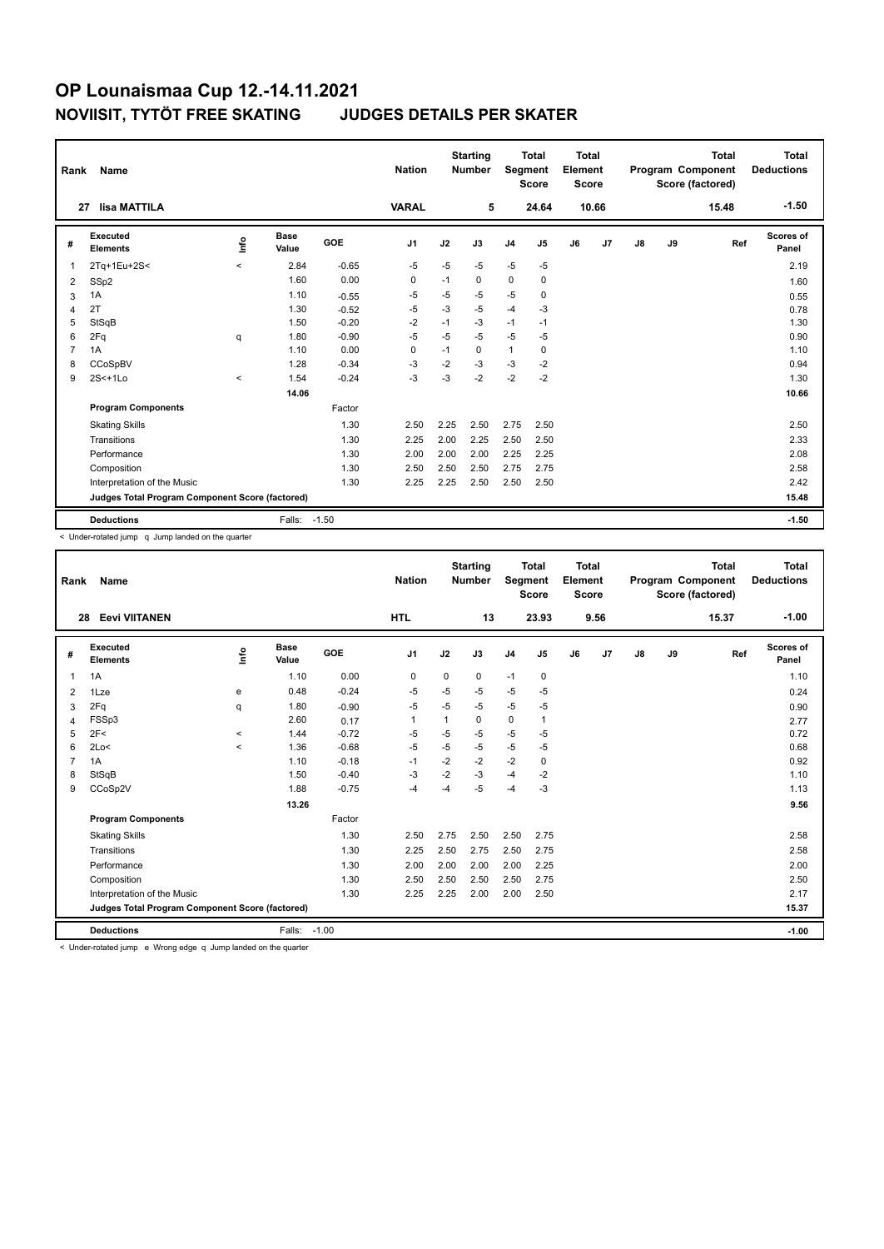|                                                 | Name<br>Rank                |          |                      |            | <b>Nation</b>  |      | <b>Starting</b><br><b>Number</b> | Segment        | <b>Total</b><br><b>Score</b> | <b>Total</b><br>Element<br><b>Score</b> |                | <b>Total</b><br>Program Component<br>Score (factored) |       |       | <b>Total</b><br><b>Deductions</b> |
|-------------------------------------------------|-----------------------------|----------|----------------------|------------|----------------|------|----------------------------------|----------------|------------------------------|-----------------------------------------|----------------|-------------------------------------------------------|-------|-------|-----------------------------------|
| 27                                              | lisa MATTILA                |          |                      |            | <b>VARAL</b>   |      | 5                                |                | 24.64                        |                                         | 10.66          |                                                       |       | 15.48 | $-1.50$                           |
| #                                               | Executed<br><b>Elements</b> | lnfo     | <b>Base</b><br>Value | <b>GOE</b> | J <sub>1</sub> | J2   | J3                               | J <sub>4</sub> | J <sub>5</sub>               | J6                                      | J <sub>7</sub> | J8                                                    | J9    | Ref   | Scores of<br>Panel                |
| $\overline{1}$                                  | 2Tq+1Eu+2S<                 | $\,<\,$  | 2.84                 | $-0.65$    | $-5$           | $-5$ | $-5$                             | $-5$           | $-5$                         |                                         |                |                                                       |       |       | 2.19                              |
| 2                                               | SSp2                        |          | 1.60                 | 0.00       | $\Omega$       | $-1$ | $\Omega$                         | $\mathbf 0$    | $\mathbf 0$                  |                                         |                |                                                       |       |       | 1.60                              |
| 3                                               | 1A                          |          | 1.10                 | $-0.55$    | $-5$           | $-5$ | -5                               | $-5$           | $\mathbf 0$                  |                                         |                |                                                       |       |       | 0.55                              |
| $\overline{4}$                                  | 2T                          |          | 1.30                 | $-0.52$    | $-5$           | $-3$ | $-5$                             | $-4$           | $-3$                         |                                         |                |                                                       |       |       | 0.78                              |
| 5                                               | StSqB                       |          | 1.50                 | $-0.20$    | $-2$           | $-1$ | $-3$                             | $-1$           | $-1$                         |                                         |                |                                                       |       |       | 1.30                              |
| 6                                               | 2Fq                         | q        | 1.80                 | $-0.90$    | $-5$           | $-5$ | $-5$                             | $-5$           | $-5$                         |                                         |                |                                                       |       |       | 0.90                              |
| $\overline{7}$                                  | 1A                          |          | 1.10                 | 0.00       | $\Omega$       | $-1$ | $\Omega$                         | $\mathbf{1}$   | 0                            |                                         |                |                                                       |       |       | 1.10                              |
| 8                                               | CCoSpBV                     |          | 1.28                 | $-0.34$    | $-3$           | $-2$ | -3                               | $-3$           | $-2$                         |                                         |                |                                                       |       |       | 0.94                              |
| 9                                               | $2S<+1Lo$                   | $\hat{}$ | 1.54                 | $-0.24$    | $-3$           | $-3$ | $-2$                             | $-2$           | $-2$                         |                                         |                |                                                       |       |       | 1.30                              |
|                                                 |                             |          | 14.06                |            |                |      |                                  |                |                              |                                         |                |                                                       |       |       | 10.66                             |
|                                                 | <b>Program Components</b>   |          |                      | Factor     |                |      |                                  |                |                              |                                         |                |                                                       |       |       |                                   |
|                                                 | <b>Skating Skills</b>       |          |                      | 1.30       | 2.50           | 2.25 | 2.50                             | 2.75           | 2.50                         |                                         |                |                                                       |       |       | 2.50                              |
|                                                 | Transitions                 |          |                      | 1.30       | 2.25           | 2.00 | 2.25                             | 2.50           | 2.50                         |                                         |                |                                                       |       |       | 2.33                              |
|                                                 | Performance                 |          |                      | 1.30       | 2.00           | 2.00 | 2.00                             | 2.25           | 2.25                         |                                         |                |                                                       |       |       | 2.08                              |
|                                                 | Composition                 |          |                      | 1.30       | 2.50           | 2.50 | 2.50                             | 2.75           | 2.75                         |                                         |                |                                                       |       |       | 2.58                              |
|                                                 | Interpretation of the Music |          |                      | 1.30       | 2.25           | 2.25 | 2.50                             | 2.50           | 2.50                         |                                         |                |                                                       |       |       | 2.42                              |
| Judges Total Program Component Score (factored) |                             |          |                      |            |                |      |                                  |                |                              |                                         |                |                                                       | 15.48 |       |                                   |
|                                                 | <b>Deductions</b>           |          | Falls: -1.50         |            |                |      |                                  |                |                              |                                         |                |                                                       |       |       | $-1.50$                           |

< Under-rotated jump q Jump landed on the quarter

| Rank                                            | <b>Name</b>                 |         |                      |         | <b>Nation</b>  |             | <b>Starting</b><br><b>Number</b> | Segment        | <b>Total</b><br><b>Score</b> | Total<br>Element<br><b>Score</b> |      |               |    | <b>Total</b><br>Program Component<br>Score (factored) | <b>Total</b><br><b>Deductions</b> |
|-------------------------------------------------|-----------------------------|---------|----------------------|---------|----------------|-------------|----------------------------------|----------------|------------------------------|----------------------------------|------|---------------|----|-------------------------------------------------------|-----------------------------------|
|                                                 | <b>Eevi VIITANEN</b><br>28  |         |                      |         | <b>HTL</b>     |             | 13                               |                | 23.93                        |                                  | 9.56 |               |    | 15.37                                                 | $-1.00$                           |
| #                                               | Executed<br><b>Elements</b> | ۴       | <b>Base</b><br>Value | GOE     | J <sub>1</sub> | J2          | J3                               | J <sub>4</sub> | J <sub>5</sub>               | J6                               | J7   | $\mathsf{J}8$ | J9 | Ref                                                   | <b>Scores of</b><br>Panel         |
| $\mathbf{1}$                                    | 1A                          |         | 1.10                 | 0.00    | $\mathbf 0$    | $\mathbf 0$ | 0                                | $-1$           | 0                            |                                  |      |               |    |                                                       | 1.10                              |
| 2                                               | 1Lze                        | e       | 0.48                 | $-0.24$ | $-5$           | $-5$        | $-5$                             | $-5$           | $-5$                         |                                  |      |               |    |                                                       | 0.24                              |
| 3                                               | 2Fq                         | q       | 1.80                 | $-0.90$ | $-5$           | $-5$        | $-5$                             | $-5$           | -5                           |                                  |      |               |    |                                                       | 0.90                              |
| 4                                               | FSSp3                       |         | 2.60                 | 0.17    | $\mathbf{1}$   | 1           | 0                                | $\mathbf 0$    | 1                            |                                  |      |               |    |                                                       | 2.77                              |
| 5                                               | 2F<                         | $\,<$   | 1.44                 | $-0.72$ | $-5$           | $-5$        | $-5$                             | $-5$           | $-5$                         |                                  |      |               |    |                                                       | 0.72                              |
| 6                                               | 2Lo<                        | $\prec$ | 1.36                 | $-0.68$ | $-5$           | $-5$        | $-5$                             | $-5$           | $-5$                         |                                  |      |               |    |                                                       | 0.68                              |
| $\overline{7}$                                  | 1A                          |         | 1.10                 | $-0.18$ | $-1$           | $-2$        | $-2$                             | $-2$           | $\mathbf 0$                  |                                  |      |               |    |                                                       | 0.92                              |
| 8                                               | StSqB                       |         | 1.50                 | $-0.40$ | $-3$           | $-2$        | $-3$                             | $-4$           | $-2$                         |                                  |      |               |    |                                                       | 1.10                              |
| 9                                               | CCoSp2V                     |         | 1.88                 | $-0.75$ | -4             | $-4$        | $-5$                             | $-4$           | $-3$                         |                                  |      |               |    |                                                       | 1.13                              |
|                                                 |                             |         | 13.26                |         |                |             |                                  |                |                              |                                  |      |               |    |                                                       | 9.56                              |
|                                                 | <b>Program Components</b>   |         |                      | Factor  |                |             |                                  |                |                              |                                  |      |               |    |                                                       |                                   |
|                                                 | <b>Skating Skills</b>       |         |                      | 1.30    | 2.50           | 2.75        | 2.50                             | 2.50           | 2.75                         |                                  |      |               |    |                                                       | 2.58                              |
|                                                 | Transitions                 |         |                      | 1.30    | 2.25           | 2.50        | 2.75                             | 2.50           | 2.75                         |                                  |      |               |    |                                                       | 2.58                              |
|                                                 | Performance                 |         |                      | 1.30    | 2.00           | 2.00        | 2.00                             | 2.00           | 2.25                         |                                  |      |               |    |                                                       | 2.00                              |
|                                                 | Composition                 |         |                      | 1.30    | 2.50           | 2.50        | 2.50                             | 2.50           | 2.75                         |                                  |      |               |    |                                                       | 2.50                              |
|                                                 | Interpretation of the Music |         |                      | 1.30    | 2.25           | 2.25        | 2.00                             | 2.00           | 2.50                         |                                  |      |               |    |                                                       | 2.17                              |
| Judges Total Program Component Score (factored) |                             |         |                      |         |                |             |                                  |                |                              |                                  |      | 15.37         |    |                                                       |                                   |
|                                                 | <b>Deductions</b>           |         | Falls:               | $-1.00$ |                |             |                                  |                |                              |                                  |      |               |    |                                                       | $-1.00$                           |

< Under-rotated jump e Wrong edge q Jump landed on the quarter